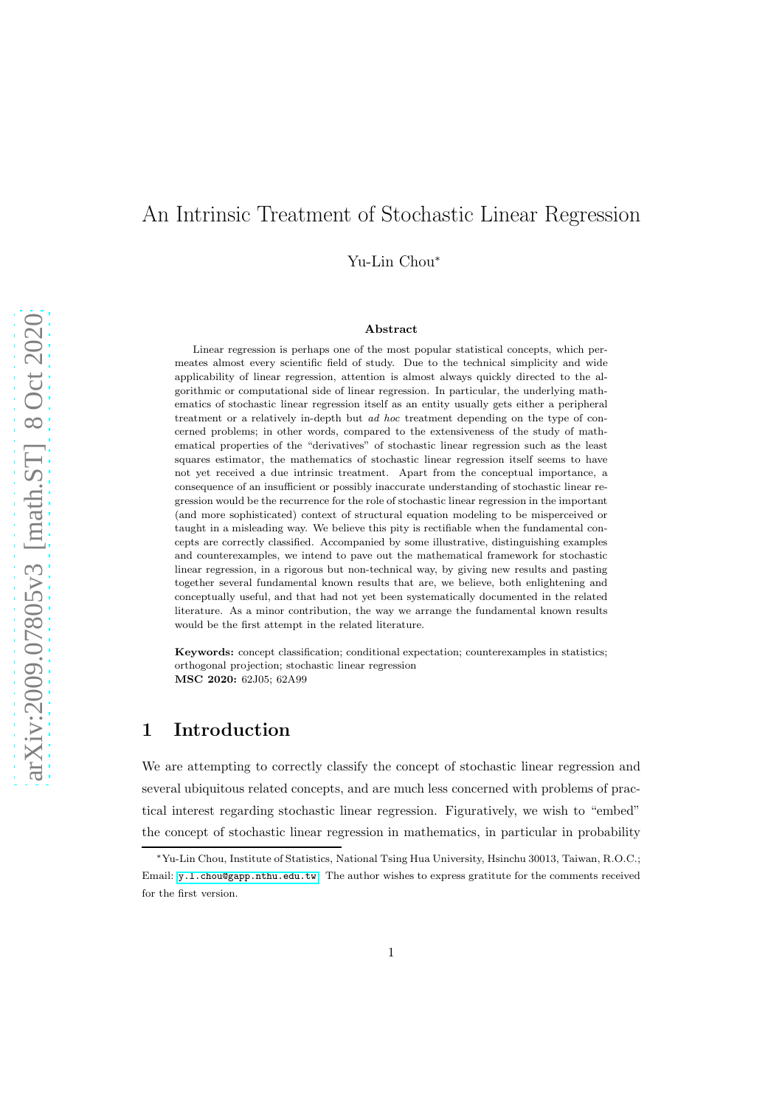# An Intrinsic Treatment of Stochastic Linear Regression

Yu-Lin Chou<sup>∗</sup>

#### Abstract

Linear regression is perhaps one of the most popular statistical concepts, which permeates almost every scientific field of study. Due to the technical simplicity and wide applicability of linear regression, attention is almost always quickly directed to the algorithmic or computational side of linear regression. In particular, the underlying mathematics of stochastic linear regression itself as an entity usually gets either a peripheral treatment or a relatively in-depth but ad hoc treatment depending on the type of concerned problems; in other words, compared to the extensiveness of the study of mathematical properties of the "derivatives" of stochastic linear regression such as the least squares estimator, the mathematics of stochastic linear regression itself seems to have not yet received a due intrinsic treatment. Apart from the conceptual importance, a consequence of an insufficient or possibly inaccurate understanding of stochastic linear regression would be the recurrence for the role of stochastic linear regression in the important (and more sophisticated) context of structural equation modeling to be misperceived or taught in a misleading way. We believe this pity is rectifiable when the fundamental concepts are correctly classified. Accompanied by some illustrative, distinguishing examples and counterexamples, we intend to pave out the mathematical framework for stochastic linear regression, in a rigorous but non-technical way, by giving new results and pasting together several fundamental known results that are, we believe, both enlightening and conceptually useful, and that had not yet been systematically documented in the related literature. As a minor contribution, the way we arrange the fundamental known results would be the first attempt in the related literature.

Keywords: concept classification; conditional expectation; counterexamples in statistics; orthogonal projection; stochastic linear regression MSC 2020: 62J05; 62A99

## 1 Introduction

We are attempting to correctly classify the concept of stochastic linear regression and several ubiquitous related concepts, and are much less concerned with problems of practical interest regarding stochastic linear regression. Figuratively, we wish to "embed" the concept of stochastic linear regression in mathematics, in particular in probability

<sup>∗</sup>Yu-Lin Chou, Institute of Statistics, National Tsing Hua University, Hsinchu 30013, Taiwan, R.O.C.; Email: <y.l.chou@gapp.nthu.edu.tw>. The author wishes to express gratitute for the comments received for the first version.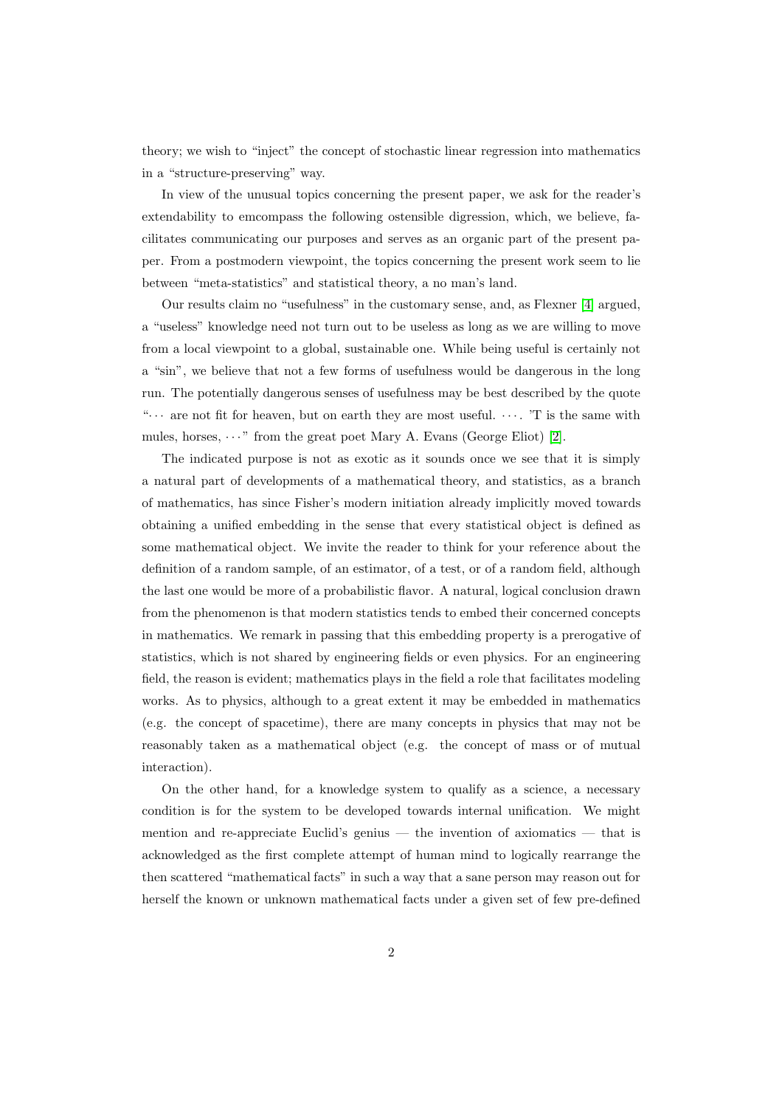theory; we wish to "inject" the concept of stochastic linear regression into mathematics in a "structure-preserving" way.

In view of the unusual topics concerning the present paper, we ask for the reader's extendability to emcompass the following ostensible digression, which, we believe, facilitates communicating our purposes and serves as an organic part of the present paper. From a postmodern viewpoint, the topics concerning the present work seem to lie between "meta-statistics" and statistical theory, a no man's land.

Our results claim no "usefulness" in the customary sense, and, as Flexner [\[4\]](#page-22-0) argued, a "useless" knowledge need not turn out to be useless as long as we are willing to move from a local viewpoint to a global, sustainable one. While being useful is certainly not a "sin", we believe that not a few forms of usefulness would be dangerous in the long run. The potentially dangerous senses of usefulness may be best described by the quote " $\cdots$  are not fit for heaven, but on earth they are most useful.  $\cdots$ . 'T is the same with mules, horses,  $\cdots$ " from the great poet Mary A. Evans (George Eliot) [\[2\]](#page-22-1).

The indicated purpose is not as exotic as it sounds once we see that it is simply a natural part of developments of a mathematical theory, and statistics, as a branch of mathematics, has since Fisher's modern initiation already implicitly moved towards obtaining a unified embedding in the sense that every statistical object is defined as some mathematical object. We invite the reader to think for your reference about the definition of a random sample, of an estimator, of a test, or of a random field, although the last one would be more of a probabilistic flavor. A natural, logical conclusion drawn from the phenomenon is that modern statistics tends to embed their concerned concepts in mathematics. We remark in passing that this embedding property is a prerogative of statistics, which is not shared by engineering fields or even physics. For an engineering field, the reason is evident; mathematics plays in the field a role that facilitates modeling works. As to physics, although to a great extent it may be embedded in mathematics (e.g. the concept of spacetime), there are many concepts in physics that may not be reasonably taken as a mathematical object (e.g. the concept of mass or of mutual interaction).

On the other hand, for a knowledge system to qualify as a science, a necessary condition is for the system to be developed towards internal unification. We might mention and re-appreciate Euclid's genius — the invention of axiomatics — that is acknowledged as the first complete attempt of human mind to logically rearrange the then scattered "mathematical facts" in such a way that a sane person may reason out for herself the known or unknown mathematical facts under a given set of few pre-defined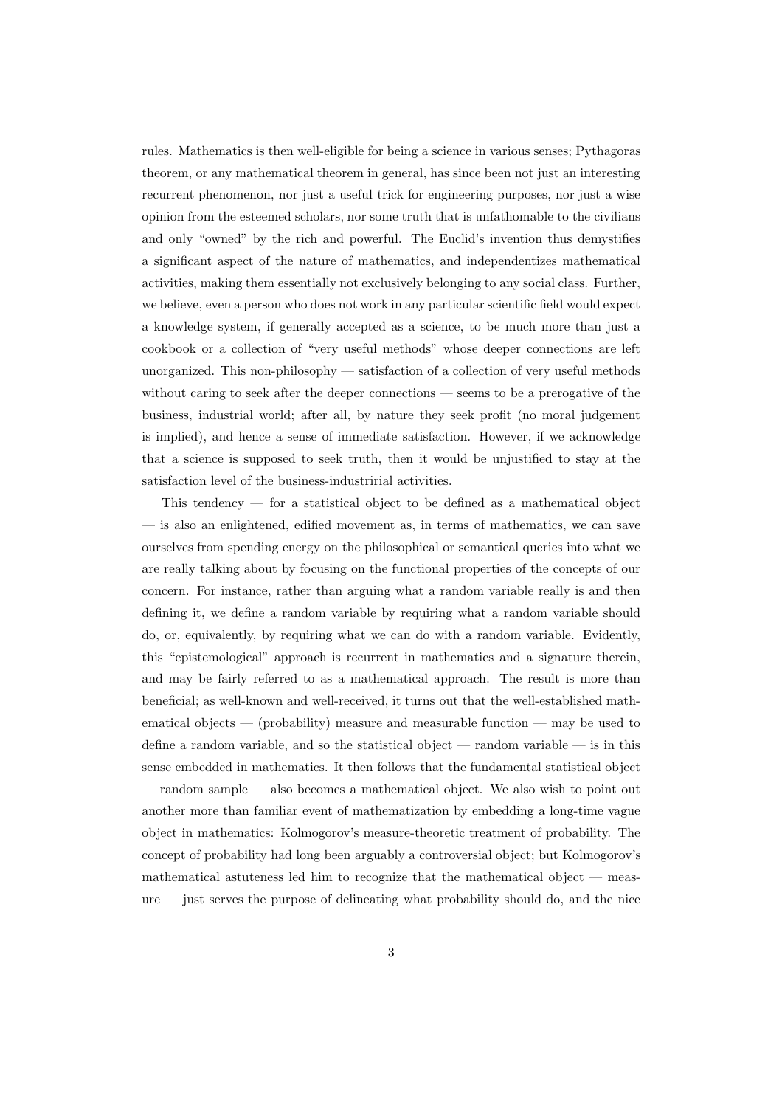rules. Mathematics is then well-eligible for being a science in various senses; Pythagoras theorem, or any mathematical theorem in general, has since been not just an interesting recurrent phenomenon, nor just a useful trick for engineering purposes, nor just a wise opinion from the esteemed scholars, nor some truth that is unfathomable to the civilians and only "owned" by the rich and powerful. The Euclid's invention thus demystifies a significant aspect of the nature of mathematics, and independentizes mathematical activities, making them essentially not exclusively belonging to any social class. Further, we believe, even a person who does not work in any particular scientific field would expect a knowledge system, if generally accepted as a science, to be much more than just a cookbook or a collection of "very useful methods" whose deeper connections are left unorganized. This non-philosophy — satisfaction of a collection of very useful methods without caring to seek after the deeper connections — seems to be a prerogative of the business, industrial world; after all, by nature they seek profit (no moral judgement is implied), and hence a sense of immediate satisfaction. However, if we acknowledge that a science is supposed to seek truth, then it would be unjustified to stay at the satisfaction level of the business-industririal activities.

This tendency — for a statistical object to be defined as a mathematical object — is also an enlightened, edified movement as, in terms of mathematics, we can save ourselves from spending energy on the philosophical or semantical queries into what we are really talking about by focusing on the functional properties of the concepts of our concern. For instance, rather than arguing what a random variable really is and then defining it, we define a random variable by requiring what a random variable should do, or, equivalently, by requiring what we can do with a random variable. Evidently, this "epistemological" approach is recurrent in mathematics and a signature therein, and may be fairly referred to as a mathematical approach. The result is more than beneficial; as well-known and well-received, it turns out that the well-established mathematical objects — (probability) measure and measurable function — may be used to define a random variable, and so the statistical object — random variable — is in this sense embedded in mathematics. It then follows that the fundamental statistical object — random sample — also becomes a mathematical object. We also wish to point out another more than familiar event of mathematization by embedding a long-time vague object in mathematics: Kolmogorov's measure-theoretic treatment of probability. The concept of probability had long been arguably a controversial object; but Kolmogorov's mathematical astuteness led him to recognize that the mathematical object — measure — just serves the purpose of delineating what probability should do, and the nice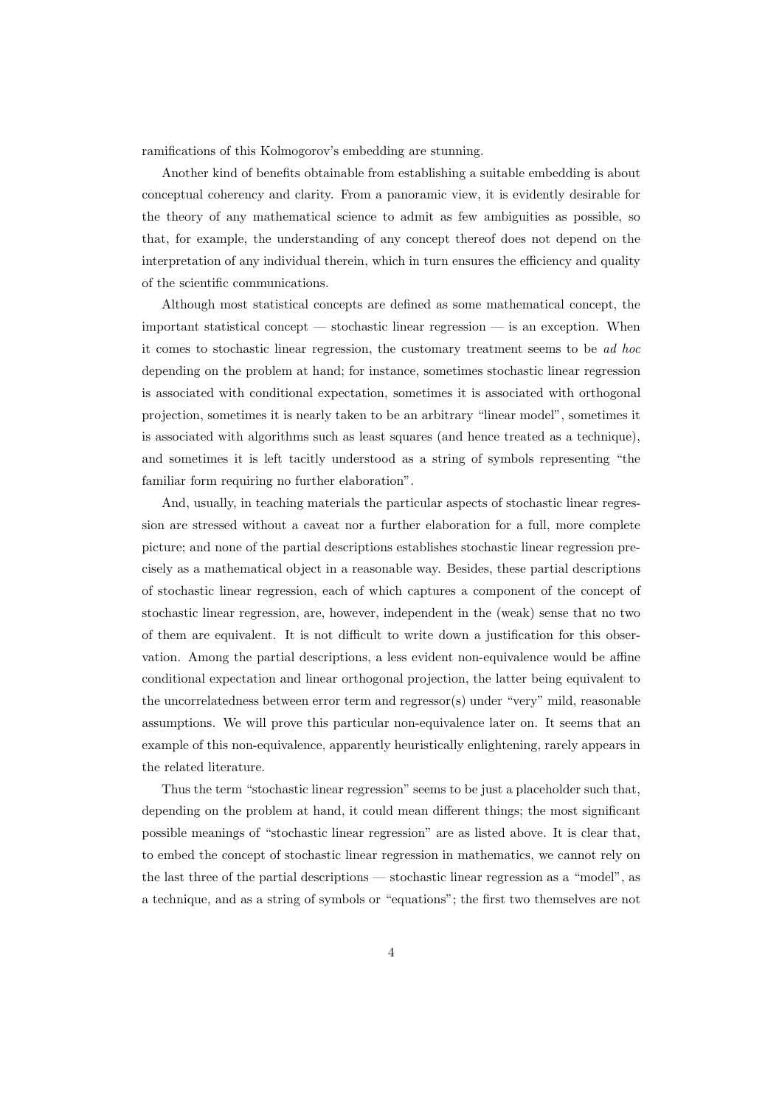ramifications of this Kolmogorov's embedding are stunning.

Another kind of benefits obtainable from establishing a suitable embedding is about conceptual coherency and clarity. From a panoramic view, it is evidently desirable for the theory of any mathematical science to admit as few ambiguities as possible, so that, for example, the understanding of any concept thereof does not depend on the interpretation of any individual therein, which in turn ensures the efficiency and quality of the scientific communications.

Although most statistical concepts are defined as some mathematical concept, the important statistical concept — stochastic linear regression — is an exception. When it comes to stochastic linear regression, the customary treatment seems to be ad hoc depending on the problem at hand; for instance, sometimes stochastic linear regression is associated with conditional expectation, sometimes it is associated with orthogonal projection, sometimes it is nearly taken to be an arbitrary "linear model", sometimes it is associated with algorithms such as least squares (and hence treated as a technique), and sometimes it is left tacitly understood as a string of symbols representing "the familiar form requiring no further elaboration".

And, usually, in teaching materials the particular aspects of stochastic linear regression are stressed without a caveat nor a further elaboration for a full, more complete picture; and none of the partial descriptions establishes stochastic linear regression precisely as a mathematical object in a reasonable way. Besides, these partial descriptions of stochastic linear regression, each of which captures a component of the concept of stochastic linear regression, are, however, independent in the (weak) sense that no two of them are equivalent. It is not difficult to write down a justification for this observation. Among the partial descriptions, a less evident non-equivalence would be affine conditional expectation and linear orthogonal projection, the latter being equivalent to the uncorrelatedness between error term and regressor(s) under "very" mild, reasonable assumptions. We will prove this particular non-equivalence later on. It seems that an example of this non-equivalence, apparently heuristically enlightening, rarely appears in the related literature.

Thus the term "stochastic linear regression" seems to be just a placeholder such that, depending on the problem at hand, it could mean different things; the most significant possible meanings of "stochastic linear regression" are as listed above. It is clear that, to embed the concept of stochastic linear regression in mathematics, we cannot rely on the last three of the partial descriptions — stochastic linear regression as a "model", as a technique, and as a string of symbols or "equations"; the first two themselves are not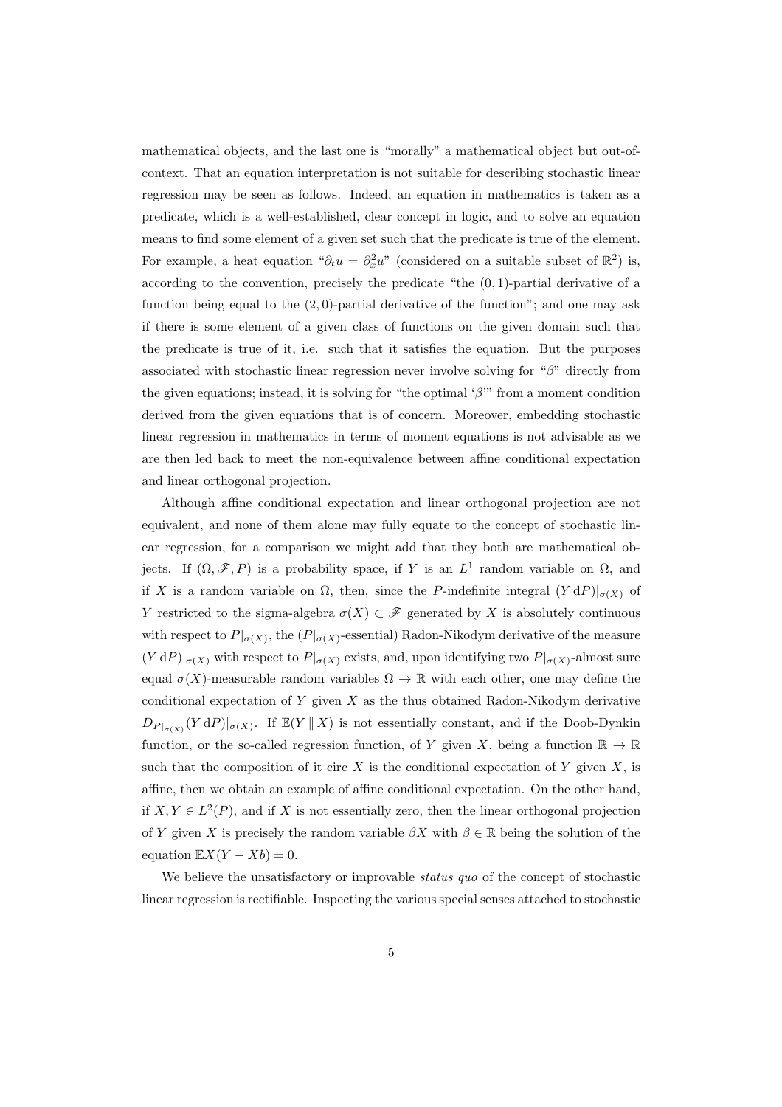mathematical objects, and the last one is "morally" a mathematical object but out-ofcontext. That an equation interpretation is not suitable for describing stochastic linear regression may be seen as follows. Indeed, an equation in mathematics is taken as a predicate, which is a well-established, clear concept in logic, and to solve an equation means to find some element of a given set such that the predicate is true of the element. For example, a heat equation " $\partial_t u = \partial_x^2 u$ " (considered on a suitable subset of  $\mathbb{R}^2$ ) is, according to the convention, precisely the predicate "the  $(0, 1)$ -partial derivative of a function being equal to the  $(2, 0)$ -partial derivative of the function"; and one may ask if there is some element of a given class of functions on the given domain such that the predicate is true of it, i.e. such that it satisfies the equation. But the purposes associated with stochastic linear regression never involve solving for "β" directly from the given equations; instead, it is solving for "the optimal ' $\beta$ " from a moment condition derived from the given equations that is of concern. Moreover, embedding stochastic linear regression in mathematics in terms of moment equations is not advisable as we are then led back to meet the non-equivalence between affine conditional expectation and linear orthogonal projection.

Although affine conditional expectation and linear orthogonal projection are not equivalent, and none of them alone may fully equate to the concept of stochastic linear regression, for a comparison we might add that they both are mathematical objects. If  $(\Omega, \mathscr{F}, P)$  is a probability space, if Y is an  $L^1$  random variable on  $\Omega$ , and if X is a random variable on  $\Omega$ , then, since the P-indefinite integral  $(Y dP)|_{\sigma(X)}$  of Y restricted to the sigma-algebra  $\sigma(X) \subset \mathscr{F}$  generated by X is absolutely continuous with respect to  $P|_{\sigma(X)}$ , the  $(P|_{\sigma(X)}$ -essential) Radon-Nikodym derivative of the measure  $(Y dP)|_{\sigma(X)}$  with respect to  $P|_{\sigma(X)}$  exists, and, upon identifying two  $P|_{\sigma(X)}$ -almost sure equal  $\sigma(X)$ -measurable random variables  $\Omega \to \mathbb{R}$  with each other, one may define the conditional expectation of  $Y$  given  $X$  as the thus obtained Radon-Nikodym derivative  $D_{P|_{\sigma(X)}}(Y dP)|_{\sigma(X)}$ . If  $\mathbb{E}(Y || X)$  is not essentially constant, and if the Doob-Dynkin function, or the so-called regression function, of Y given X, being a function  $\mathbb{R} \to \mathbb{R}$ such that the composition of it circ  $X$  is the conditional expectation of  $Y$  given  $X$ , is affine, then we obtain an example of affine conditional expectation. On the other hand, if  $X, Y \in L^2(P)$ , and if X is not essentially zero, then the linear orthogonal projection of Y given X is precisely the random variable  $\beta X$  with  $\beta \in \mathbb{R}$  being the solution of the equation  $\mathbb{E}X(Y - Xb) = 0$ .

We believe the unsatisfactory or improvable *status quo* of the concept of stochastic linear regression is rectifiable. Inspecting the various special senses attached to stochastic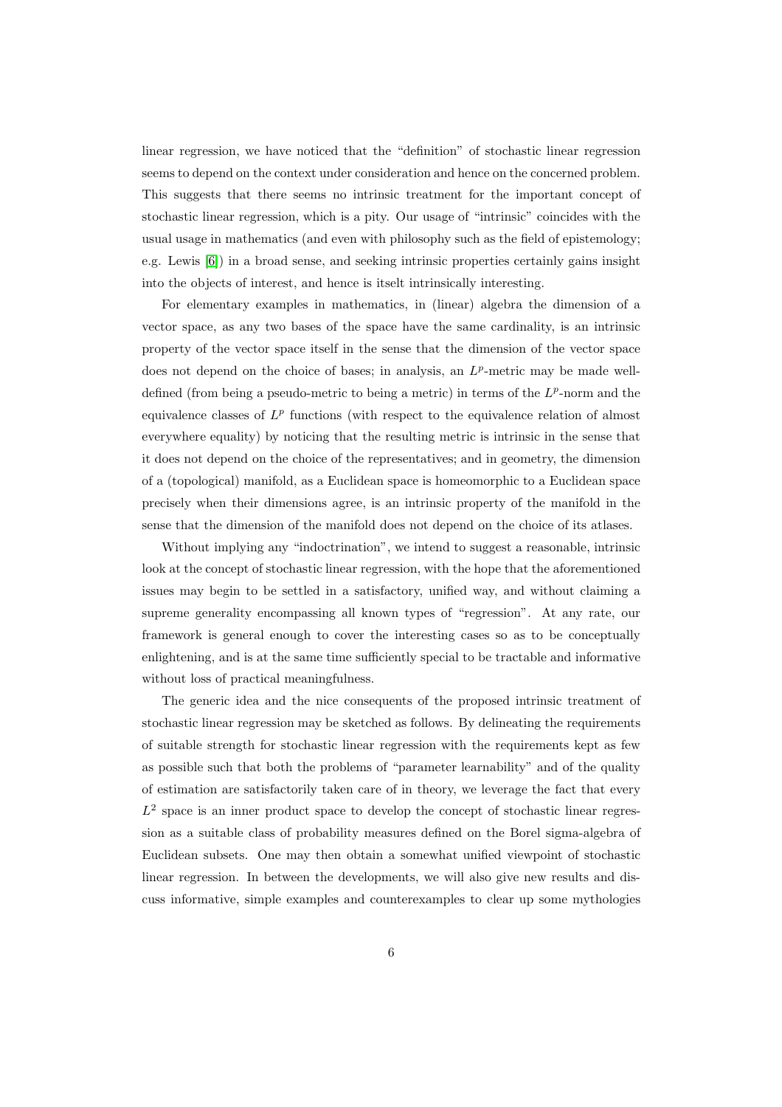linear regression, we have noticed that the "definition" of stochastic linear regression seems to depend on the context under consideration and hence on the concerned problem. This suggests that there seems no intrinsic treatment for the important concept of stochastic linear regression, which is a pity. Our usage of "intrinsic" coincides with the usual usage in mathematics (and even with philosophy such as the field of epistemology; e.g. Lewis [\[6\]](#page-22-2)) in a broad sense, and seeking intrinsic properties certainly gains insight into the objects of interest, and hence is itselt intrinsically interesting.

For elementary examples in mathematics, in (linear) algebra the dimension of a vector space, as any two bases of the space have the same cardinality, is an intrinsic property of the vector space itself in the sense that the dimension of the vector space does not depend on the choice of bases; in analysis, an  $L^p$ -metric may be made welldefined (from being a pseudo-metric to being a metric) in terms of the  $L^p$ -norm and the equivalence classes of  $L^p$  functions (with respect to the equivalence relation of almost everywhere equality) by noticing that the resulting metric is intrinsic in the sense that it does not depend on the choice of the representatives; and in geometry, the dimension of a (topological) manifold, as a Euclidean space is homeomorphic to a Euclidean space precisely when their dimensions agree, is an intrinsic property of the manifold in the sense that the dimension of the manifold does not depend on the choice of its atlases.

Without implying any "indoctrination", we intend to suggest a reasonable, intrinsic look at the concept of stochastic linear regression, with the hope that the aforementioned issues may begin to be settled in a satisfactory, unified way, and without claiming a supreme generality encompassing all known types of "regression". At any rate, our framework is general enough to cover the interesting cases so as to be conceptually enlightening, and is at the same time sufficiently special to be tractable and informative without loss of practical meaningfulness.

The generic idea and the nice consequents of the proposed intrinsic treatment of stochastic linear regression may be sketched as follows. By delineating the requirements of suitable strength for stochastic linear regression with the requirements kept as few as possible such that both the problems of "parameter learnability" and of the quality of estimation are satisfactorily taken care of in theory, we leverage the fact that every  $L^2$  space is an inner product space to develop the concept of stochastic linear regression as a suitable class of probability measures defined on the Borel sigma-algebra of Euclidean subsets. One may then obtain a somewhat unified viewpoint of stochastic linear regression. In between the developments, we will also give new results and discuss informative, simple examples and counterexamples to clear up some mythologies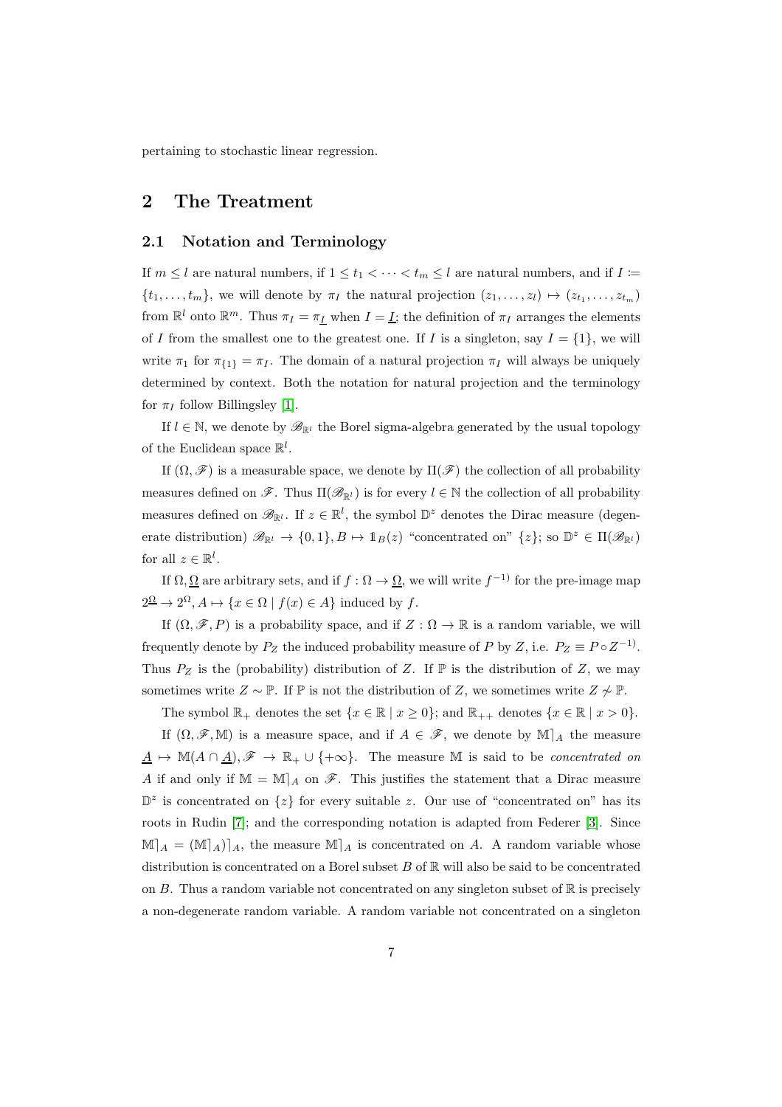pertaining to stochastic linear regression.

## 2 The Treatment

#### 2.1 Notation and Terminology

If  $m \leq l$  are natural numbers, if  $1 \leq t_1 < \cdots < t_m \leq l$  are natural numbers, and if  $I :=$  $\{t_1, \ldots, t_m\}$ , we will denote by  $\pi_I$  the natural projection  $(z_1, \ldots, z_l) \mapsto (z_{t_1}, \ldots, z_{t_m})$ from  $\mathbb{R}^l$  onto  $\mathbb{R}^m$ . Thus  $\pi_I = \pi_I$  when  $I = I$ ; the definition of  $\pi_I$  arranges the elements of I from the smallest one to the greatest one. If I is a singleton, say  $I = \{1\}$ , we will write  $\pi_1$  for  $\pi_{\{1\}} = \pi_I$ . The domain of a natural projection  $\pi_I$  will always be uniquely determined by context. Both the notation for natural projection and the terminology for  $\pi_I$  follow Billingsley [\[1\]](#page-22-3).

If  $l \in \mathbb{N}$ , we denote by  $\mathscr{B}_{\mathbb{R}^l}$  the Borel sigma-algebra generated by the usual topology of the Euclidean space  $\mathbb{R}^l$ .

If  $(\Omega, \mathscr{F})$  is a measurable space, we denote by  $\Pi(\mathscr{F})$  the collection of all probability measures defined on  $\mathscr{F}$ . Thus  $\Pi(\mathscr{B}_{\mathbb{R}^l})$  is for every  $l \in \mathbb{N}$  the collection of all probability measures defined on  $\mathscr{B}_{\mathbb{R}^l}$ . If  $z \in \mathbb{R}^l$ , the symbol  $\mathbb{D}^z$  denotes the Dirac measure (degenerate distribution)  $\mathscr{B}_{\mathbb{R}^l} \to \{0,1\}, B \mapsto \mathbb{1}_B(z)$  "concentrated on"  $\{z\}$ ; so  $\mathbb{D}^z \in \Pi(\mathscr{B}_{\mathbb{R}^l})$ for all  $z \in \mathbb{R}^l$ .

If  $\Omega, \Omega$  are arbitrary sets, and if  $f : \Omega \to \Omega$ , we will write  $f^{-1}$  for the pre-image map  $2^{\Omega} \to 2^{\Omega}, A \mapsto \{x \in \Omega \mid f(x) \in A\}$  induced by f.

If  $(\Omega, \mathscr{F}, P)$  is a probability space, and if  $Z : \Omega \to \mathbb{R}$  is a random variable, we will frequently denote by  $P_Z$  the induced probability measure of P by Z, i.e.  $P_Z \equiv P \circ Z^{-1}$ . Thus  $P_Z$  is the (probability) distribution of Z. If  $\mathbb P$  is the distribution of Z, we may sometimes write  $Z \sim \mathbb{P}$ . If  $\mathbb{P}$  is not the distribution of Z, we sometimes write  $Z \not\sim \mathbb{P}$ .

The symbol  $\mathbb{R}_+$  denotes the set  $\{x \in \mathbb{R} \mid x \geq 0\}$ ; and  $\mathbb{R}_{++}$  denotes  $\{x \in \mathbb{R} \mid x > 0\}$ .

If  $(\Omega, \mathscr{F}, \mathbb{M})$  is a measure space, and if  $A \in \mathscr{F}$ , we denote by  $\mathbb{M}|_A$  the measure  $\underline{A} \mapsto M(A \cap \underline{A}), \mathscr{F} \to \mathbb{R}_+ \cup \{+\infty\}.$  The measure M is said to be *concentrated on* A if and only if  $\mathbb{M} = \mathbb{M}|_A$  on  $\mathscr{F}$ . This justifies the statement that a Dirac measure  $\mathbb{D}^z$  is concentrated on  $\{z\}$  for every suitable z. Our use of "concentrated on" has its roots in Rudin [\[7\]](#page-22-4); and the corresponding notation is adapted from Federer [\[3\]](#page-22-5). Since  $\mathbb{M}_{A} = (\mathbb{M}_{A})_{A}$ , the measure  $\mathbb{M}_{A}$  is concentrated on A. A random variable whose distribution is concentrated on a Borel subset  $B$  of  $\mathbb R$  will also be said to be concentrated on B. Thus a random variable not concentrated on any singleton subset of  $\mathbb R$  is precisely a non-degenerate random variable. A random variable not concentrated on a singleton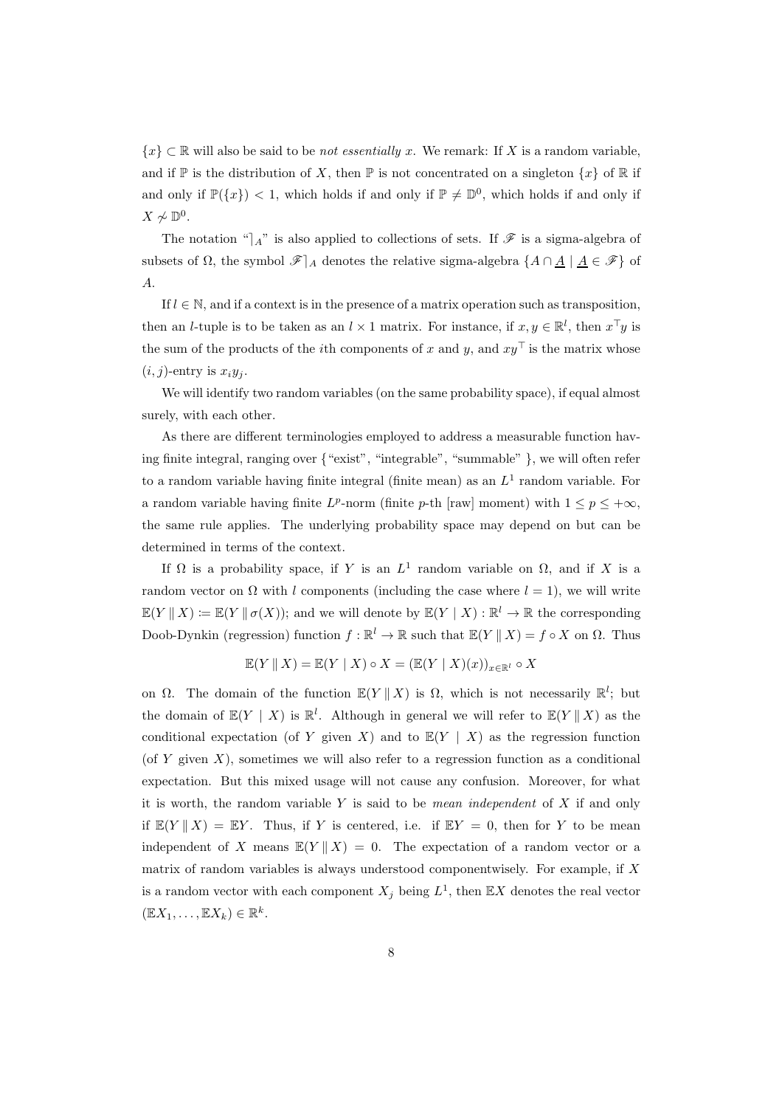${x} \subset \mathbb{R}$  will also be said to be *not essentially x*. We remark: If X is a random variable, and if  $\mathbb{P}$  is the distribution of X, then  $\mathbb{P}$  is not concentrated on a singleton  $\{x\}$  of  $\mathbb{R}$  if and only if  $\mathbb{P}(\{x\}) < 1$ , which holds if and only if  $\mathbb{P} \neq \mathbb{D}^0$ , which holds if and only if  $X \not\sim \mathbb{D}^0$ .

The notation " $\vert A$ " is also applied to collections of sets. If  $\mathscr F$  is a sigma-algebra of subsets of  $\Omega$ , the symbol  $\mathscr{F}|_A$  denotes the relative sigma-algebra  $\{A \cap \underline{A} \mid \underline{A} \in \mathscr{F}\}$  of A.

If  $l \in \mathbb{N}$ , and if a context is in the presence of a matrix operation such as transposition, then an *l*-tuple is to be taken as an  $l \times 1$  matrix. For instance, if  $x, y \in \mathbb{R}^l$ , then  $x^{\top}y$  is the sum of the products of the *i*th components of x and y, and  $xy<sup>T</sup>$  is the matrix whose  $(i, j)$ -entry is  $x_i y_j$ .

We will identify two random variables (on the same probability space), if equal almost surely, with each other.

As there are different terminologies employed to address a measurable function having finite integral, ranging over {"exist", "integrable", "summable" }, we will often refer to a random variable having finite integral (finite mean) as an  $L<sup>1</sup>$  random variable. For a random variable having finite  $L^p$ -norm (finite  $p$ -th [raw] moment) with  $1 \le p \le +\infty$ , the same rule applies. The underlying probability space may depend on but can be determined in terms of the context.

If  $\Omega$  is a probability space, if Y is an  $L^1$  random variable on  $\Omega$ , and if X is a random vector on  $\Omega$  with l components (including the case where  $l = 1$ ), we will write  $\mathbb{E}(Y \mid X) := \mathbb{E}(Y \mid \sigma(X))$ ; and we will denote by  $\mathbb{E}(Y \mid X) : \mathbb{R}^l \to \mathbb{R}$  the corresponding Doob-Dynkin (regression) function  $f : \mathbb{R}^l \to \mathbb{R}$  such that  $\mathbb{E}(Y \mid X) = f \circ X$  on  $\Omega$ . Thus

$$
\mathbb{E}(Y \parallel X) = \mathbb{E}(Y \mid X) \circ X = (\mathbb{E}(Y \mid X)(x))_{x \in \mathbb{R}^l} \circ X
$$

on  $\Omega$ . The domain of the function  $\mathbb{E}(Y \mid X)$  is  $\Omega$ , which is not necessarily  $\mathbb{R}^l$ ; but the domain of  $\mathbb{E}(Y \mid X)$  is  $\mathbb{R}^l$ . Although in general we will refer to  $\mathbb{E}(Y \mid X)$  as the conditional expectation (of Y given X) and to  $\mathbb{E}(Y \mid X)$  as the regression function (of Y given  $X$ ), sometimes we will also refer to a regression function as a conditional expectation. But this mixed usage will not cause any confusion. Moreover, for what it is worth, the random variable Y is said to be *mean independent* of X if and only if  $\mathbb{E}(Y || X) = \mathbb{E}Y$ . Thus, if Y is centered, i.e. if  $\mathbb{E}Y = 0$ , then for Y to be mean independent of X means  $\mathbb{E}(Y \mid X) = 0$ . The expectation of a random vector or a matrix of random variables is always understood componentwisely. For example, if  $X$ is a random vector with each component  $X_j$  being  $L^1$ , then  $\mathbb{E}X$  denotes the real vector  $(\mathbb{E}X_1,\ldots,\mathbb{E}X_k)\in\mathbb{R}^k$ .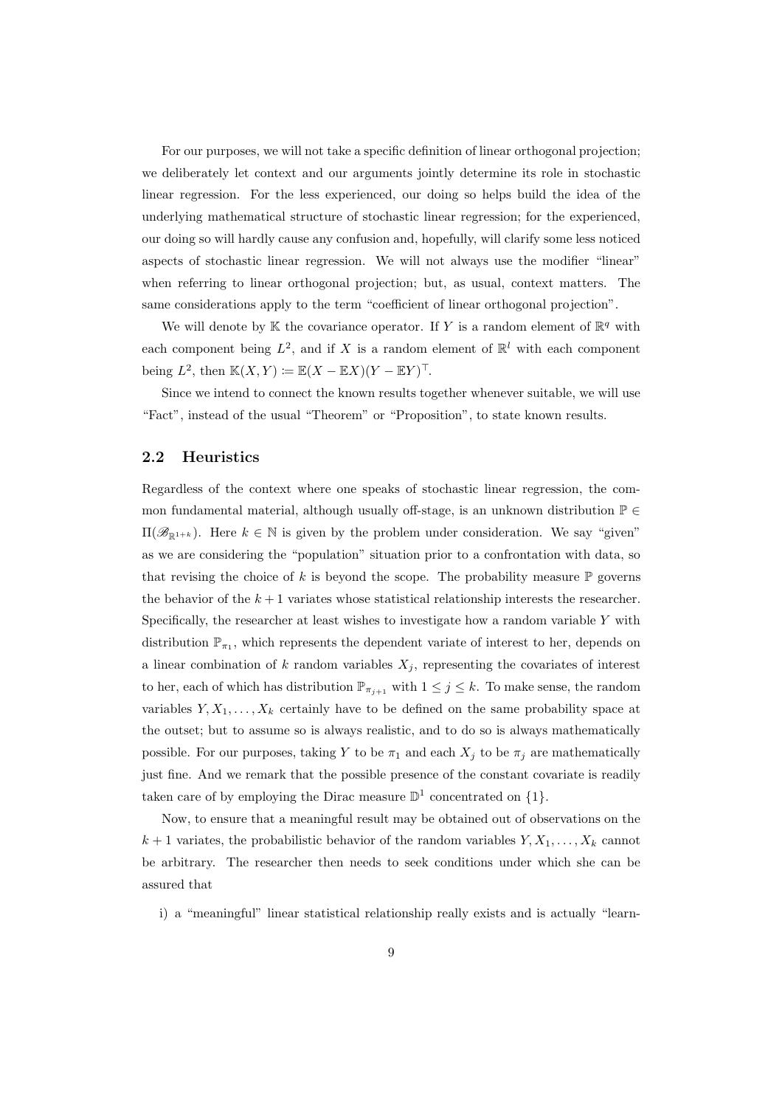For our purposes, we will not take a specific definition of linear orthogonal projection; we deliberately let context and our arguments jointly determine its role in stochastic linear regression. For the less experienced, our doing so helps build the idea of the underlying mathematical structure of stochastic linear regression; for the experienced, our doing so will hardly cause any confusion and, hopefully, will clarify some less noticed aspects of stochastic linear regression. We will not always use the modifier "linear" when referring to linear orthogonal projection; but, as usual, context matters. The same considerations apply to the term "coefficient of linear orthogonal projection".

We will denote by  $K$  the covariance operator. If Y is a random element of  $\mathbb{R}^q$  with each component being  $L^2$ , and if X is a random element of  $\mathbb{R}^l$  with each component being  $L^2$ , then  $\mathbb{K}(X,Y) \coloneqq \mathbb{E}(X - \mathbb{E}X)(Y - \mathbb{E}Y)^{\top}$ .

Since we intend to connect the known results together whenever suitable, we will use "Fact", instead of the usual "Theorem" or "Proposition", to state known results.

### 2.2 Heuristics

Regardless of the context where one speaks of stochastic linear regression, the common fundamental material, although usually off-stage, is an unknown distribution  $\mathbb{P} \in$  $\Pi(\mathscr{B}_{\mathbb{R}^{1+k}})$ . Here  $k \in \mathbb{N}$  is given by the problem under consideration. We say "given" as we are considering the "population" situation prior to a confrontation with data, so that revising the choice of  $k$  is beyond the scope. The probability measure  $\mathbb P$  governs the behavior of the  $k+1$  variates whose statistical relationship interests the researcher. Specifically, the researcher at least wishes to investigate how a random variable  $Y$  with distribution  $\mathbb{P}_{\pi_1}$ , which represents the dependent variate of interest to her, depends on a linear combination of k random variables  $X_j$ , representing the covariates of interest to her, each of which has distribution  $\mathbb{P}_{\pi_{j+1}}$  with  $1 \leq j \leq k$ . To make sense, the random variables  $Y, X_1, \ldots, X_k$  certainly have to be defined on the same probability space at the outset; but to assume so is always realistic, and to do so is always mathematically possible. For our purposes, taking Y to be  $\pi_1$  and each  $X_j$  to be  $\pi_j$  are mathematically just fine. And we remark that the possible presence of the constant covariate is readily taken care of by employing the Dirac measure  $\mathbb{D}^1$  concentrated on  $\{1\}$ .

Now, to ensure that a meaningful result may be obtained out of observations on the  $k+1$  variates, the probabilistic behavior of the random variables  $Y, X_1, \ldots, X_k$  cannot be arbitrary. The researcher then needs to seek conditions under which she can be assured that

i) a "meaningful" linear statistical relationship really exists and is actually "learn-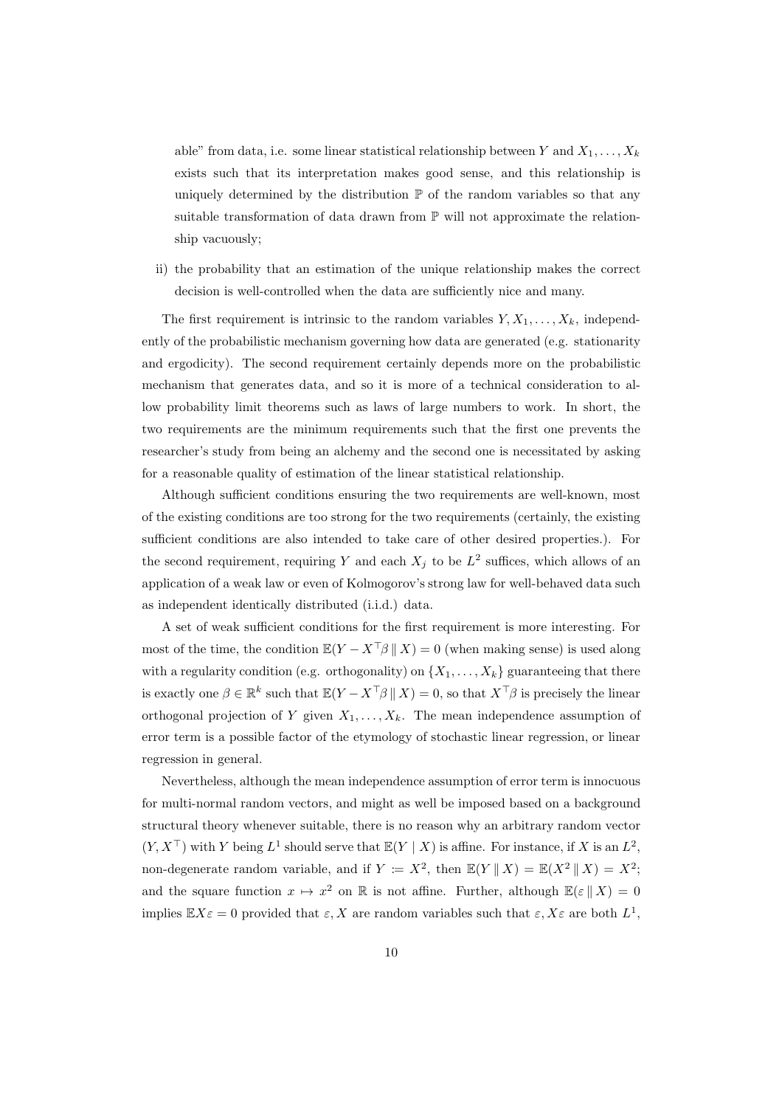able" from data, i.e. some linear statistical relationship between Y and  $X_1, \ldots, X_k$ exists such that its interpretation makes good sense, and this relationship is uniquely determined by the distribution  $\mathbb P$  of the random variables so that any suitable transformation of data drawn from  $\mathbb P$  will not approximate the relationship vacuously;

ii) the probability that an estimation of the unique relationship makes the correct decision is well-controlled when the data are sufficiently nice and many.

The first requirement is intrinsic to the random variables  $Y, X_1, \ldots, X_k$ , independently of the probabilistic mechanism governing how data are generated (e.g. stationarity and ergodicity). The second requirement certainly depends more on the probabilistic mechanism that generates data, and so it is more of a technical consideration to allow probability limit theorems such as laws of large numbers to work. In short, the two requirements are the minimum requirements such that the first one prevents the researcher's study from being an alchemy and the second one is necessitated by asking for a reasonable quality of estimation of the linear statistical relationship.

Although sufficient conditions ensuring the two requirements are well-known, most of the existing conditions are too strong for the two requirements (certainly, the existing sufficient conditions are also intended to take care of other desired properties.). For the second requirement, requiring Y and each  $X_j$  to be  $L^2$  suffices, which allows of an application of a weak law or even of Kolmogorov's strong law for well-behaved data such as independent identically distributed (i.i.d.) data.

A set of weak sufficient conditions for the first requirement is more interesting. For most of the time, the condition  $\mathbb{E}(Y - X^{\top} \beta \mid X) = 0$  (when making sense) is used along with a regularity condition (e.g. orthogonality) on  $\{X_1, \ldots, X_k\}$  guaranteeing that there is exactly one  $\beta \in \mathbb{R}^k$  such that  $\mathbb{E}(Y - X^\top \beta \mid X) = 0$ , so that  $X^\top \beta$  is precisely the linear orthogonal projection of Y given  $X_1, \ldots, X_k$ . The mean independence assumption of error term is a possible factor of the etymology of stochastic linear regression, or linear regression in general.

Nevertheless, although the mean independence assumption of error term is innocuous for multi-normal random vectors, and might as well be imposed based on a background structural theory whenever suitable, there is no reason why an arbitrary random vector  $(Y, X<sup>T</sup>)$  with Y being  $L<sup>1</sup>$  should serve that  $\mathbb{E}(Y | X)$  is affine. For instance, if X is an  $L<sup>2</sup>$ , non-degenerate random variable, and if  $Y \coloneqq X^2$ , then  $\mathbb{E}(Y || X) = \mathbb{E}(X^2 || X) = X^2$ ; and the square function  $x \mapsto x^2$  on R is not affine. Further, although  $\mathbb{E}(\varepsilon \mid X) = 0$ implies  $\mathbb{E} X \varepsilon = 0$  provided that  $\varepsilon, X$  are random variables such that  $\varepsilon, X \varepsilon$  are both  $L^1$ ,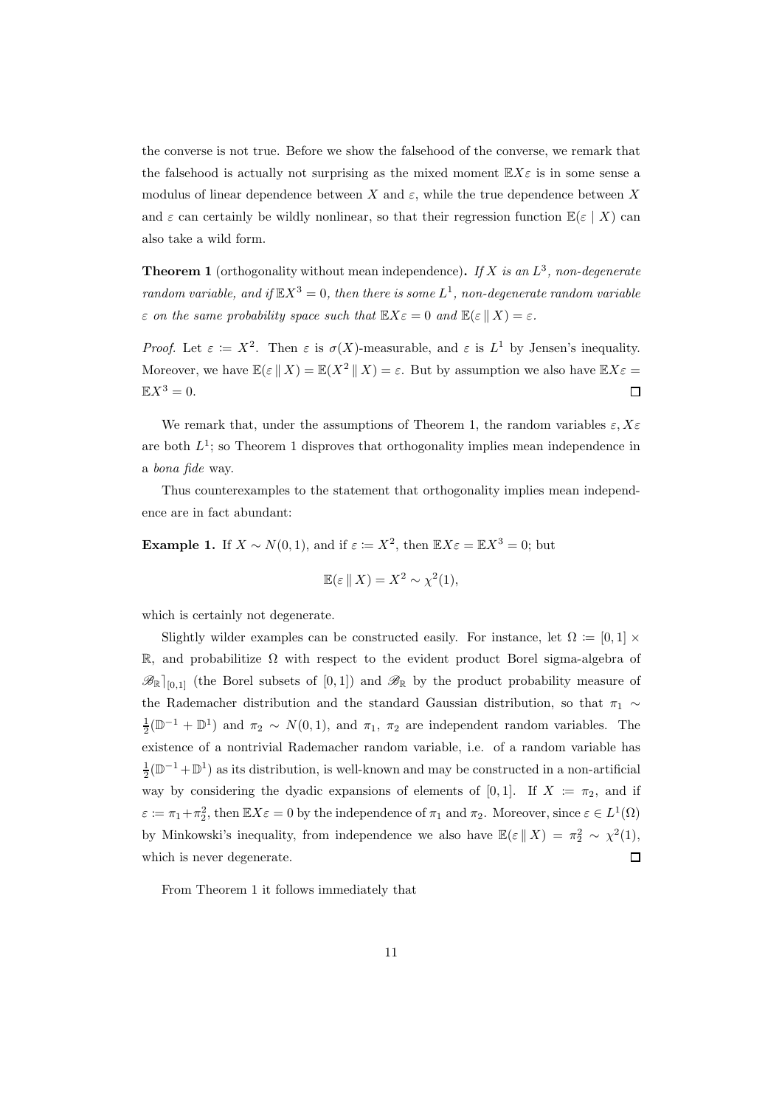the converse is not true. Before we show the falsehood of the converse, we remark that the falsehood is actually not surprising as the mixed moment  $\mathbb{E}X\epsilon$  is in some sense a modulus of linear dependence between X and  $\varepsilon$ , while the true dependence between X and  $\varepsilon$  can certainly be wildly nonlinear, so that their regression function  $\mathbb{E}(\varepsilon | X)$  can also take a wild form.

**Theorem 1** (orthogonality without mean independence). If X is an  $L^3$ , non-degenerate random variable, and if  $\mathbb{E} X^3 = 0$ , then there is some  $L^1$ , non-degenerate random variable  $\varepsilon$  on the same probability space such that  $\mathbb{E} X \varepsilon = 0$  and  $\mathbb{E} (\varepsilon \mid X) = \varepsilon$ .

Proof. Let  $\varepsilon = X^2$ . Then  $\varepsilon$  is  $\sigma(X)$ -measurable, and  $\varepsilon$  is  $L^1$  by Jensen's inequality. Moreover, we have  $\mathbb{E}(\varepsilon \mid X) = \mathbb{E}(X^2 \mid X) = \varepsilon$ . But by assumption we also have  $\mathbb{E}X\varepsilon =$  $\mathbb{E}X^3=0.$  $\Box$ 

We remark that, under the assumptions of Theorem 1, the random variables  $\varepsilon, X\varepsilon$ are both  $L^1$ ; so Theorem 1 disproves that orthogonality implies mean independence in a bona fide way.

Thus counterexamples to the statement that orthogonality implies mean independence are in fact abundant:

**Example 1.** If  $X \sim N(0, 1)$ , and if  $\varepsilon := X^2$ , then  $\mathbb{E}X\varepsilon = \mathbb{E}X^3 = 0$ ; but

$$
\mathbb{E}(\varepsilon \mid\mid X) = X^2 \sim \chi^2(1),
$$

which is certainly not degenerate.

Slightly wilder examples can be constructed easily. For instance, let  $\Omega := [0,1] \times$ R, and probabilitize  $\Omega$  with respect to the evident product Borel sigma-algebra of  $\mathscr{B}_{\mathbb{R}}|_{[0,1]}$  (the Borel subsets of  $[0,1]$ ) and  $\mathscr{B}_{\mathbb{R}}$  by the product probability measure of the Rademacher distribution and the standard Gaussian distribution, so that  $\pi_1 \sim$  $\frac{1}{2}(\mathbb{D}^{-1} + \mathbb{D}^1)$  and  $\pi_2 \sim N(0, 1)$ , and  $\pi_1$ ,  $\pi_2$  are independent random variables. The existence of a nontrivial Rademacher random variable, i.e. of a random variable has  $\frac{1}{2}(\mathbb{D}^{-1} + \mathbb{D}^1)$  as its distribution, is well-known and may be constructed in a non-artificial way by considering the dyadic expansions of elements of [0, 1]. If  $X := \pi_2$ , and if  $\varepsilon := \pi_1 + \pi_2^2$ , then  $\mathbb{E} X \varepsilon = 0$  by the independence of  $\pi_1$  and  $\pi_2$ . Moreover, since  $\varepsilon \in L^1(\Omega)$ by Minkowski's inequality, from independence we also have  $\mathbb{E}(\varepsilon \mid X) = \pi_2^2 \sim \chi^2(1)$ ,  $\Box$ which is never degenerate.

From Theorem 1 it follows immediately that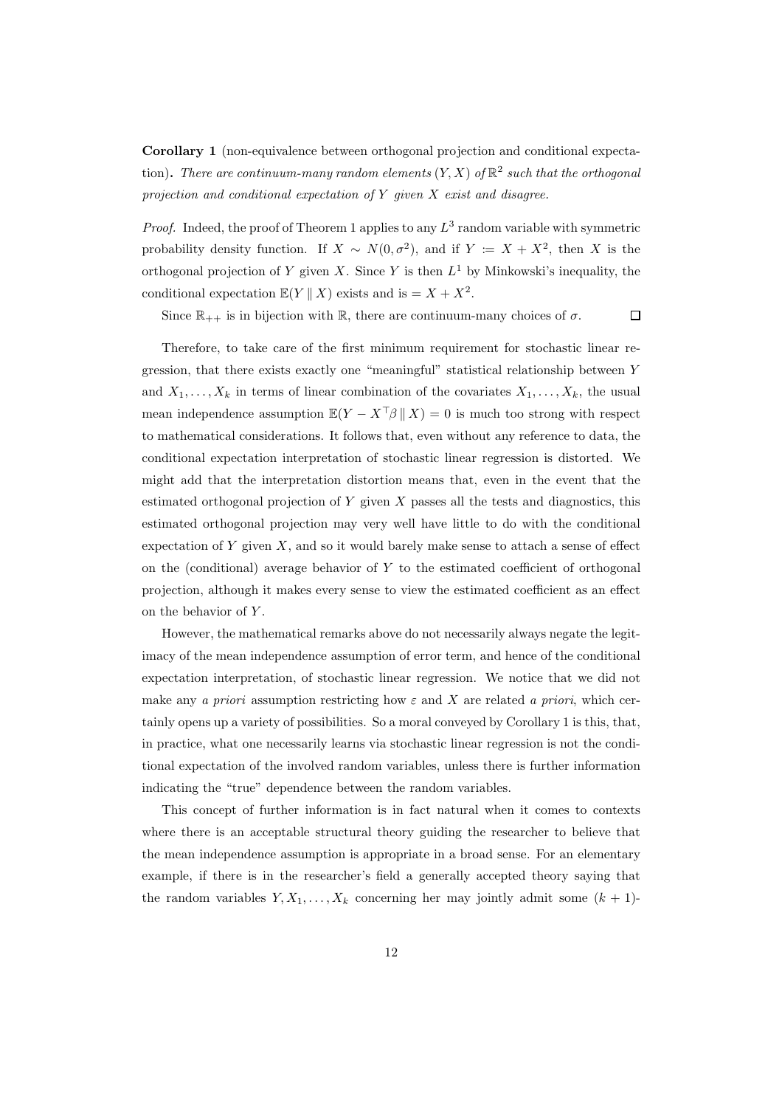Corollary 1 (non-equivalence between orthogonal projection and conditional expectation). There are continuum-many random elements  $(Y, X)$  of  $\mathbb{R}^2$  such that the orthogonal projection and conditional expectation of  $Y$  given  $X$  exist and disagree.

*Proof.* Indeed, the proof of Theorem 1 applies to any  $L^3$  random variable with symmetric probability density function. If  $X \sim N(0, \sigma^2)$ , and if  $Y := X + X^2$ , then X is the orthogonal projection of Y given X. Since Y is then  $L^1$  by Minkowski's inequality, the conditional expectation  $\mathbb{E}(Y \parallel X)$  exists and is  $= X + X^2$ .

Since  $\mathbb{R}_{++}$  is in bijection with  $\mathbb{R}$ , there are continuum-many choices of  $\sigma$ .

 $\Box$ 

Therefore, to take care of the first minimum requirement for stochastic linear regression, that there exists exactly one "meaningful" statistical relationship between Y and  $X_1, \ldots, X_k$  in terms of linear combination of the covariates  $X_1, \ldots, X_k$ , the usual mean independence assumption  $\mathbb{E}(Y - X^\top \beta \mid X) = 0$  is much too strong with respect to mathematical considerations. It follows that, even without any reference to data, the conditional expectation interpretation of stochastic linear regression is distorted. We might add that the interpretation distortion means that, even in the event that the estimated orthogonal projection of  $Y$  given  $X$  passes all the tests and diagnostics, this estimated orthogonal projection may very well have little to do with the conditional expectation of  $Y$  given  $X$ , and so it would barely make sense to attach a sense of effect on the (conditional) average behavior of  $Y$  to the estimated coefficient of orthogonal projection, although it makes every sense to view the estimated coefficient as an effect on the behavior of Y.

However, the mathematical remarks above do not necessarily always negate the legitimacy of the mean independence assumption of error term, and hence of the conditional expectation interpretation, of stochastic linear regression. We notice that we did not make any a priori assumption restricting how  $\varepsilon$  and X are related a priori, which certainly opens up a variety of possibilities. So a moral conveyed by Corollary 1 is this, that, in practice, what one necessarily learns via stochastic linear regression is not the conditional expectation of the involved random variables, unless there is further information indicating the "true" dependence between the random variables.

This concept of further information is in fact natural when it comes to contexts where there is an acceptable structural theory guiding the researcher to believe that the mean independence assumption is appropriate in a broad sense. For an elementary example, if there is in the researcher's field a generally accepted theory saying that the random variables  $Y, X_1, \ldots, X_k$  concerning her may jointly admit some  $(k + 1)$ -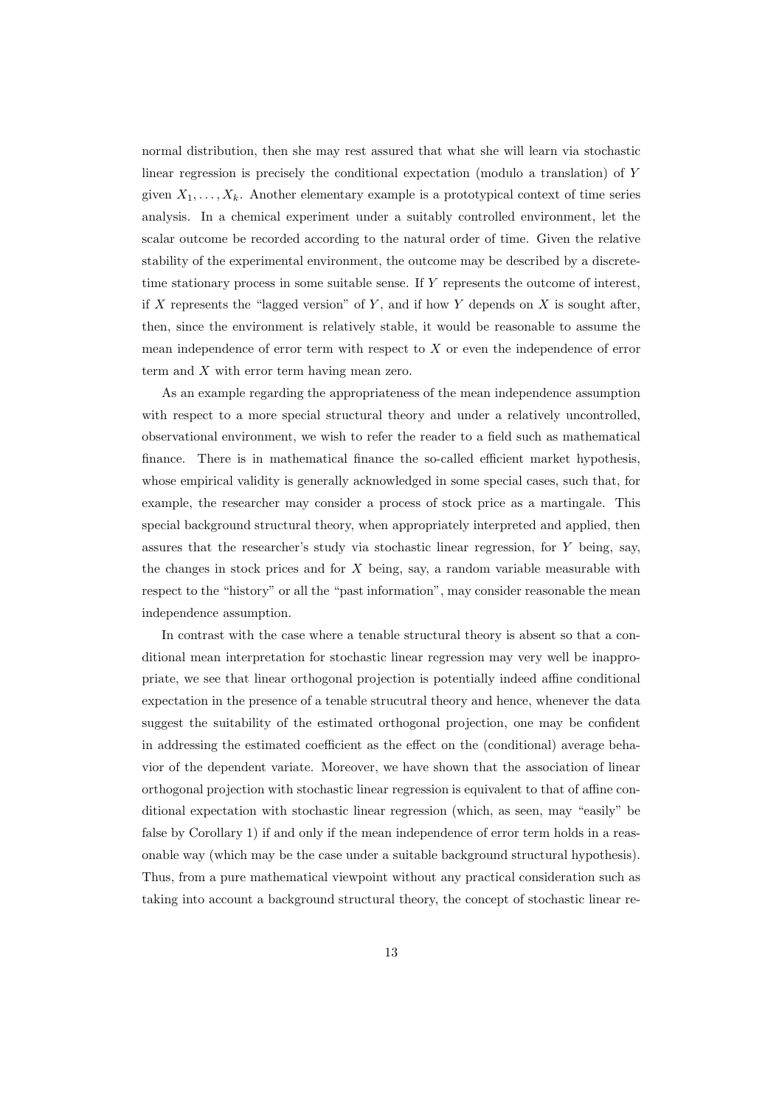normal distribution, then she may rest assured that what she will learn via stochastic linear regression is precisely the conditional expectation (modulo a translation) of Y given  $X_1, \ldots, X_k$ . Another elementary example is a prototypical context of time series analysis. In a chemical experiment under a suitably controlled environment, let the scalar outcome be recorded according to the natural order of time. Given the relative stability of the experimental environment, the outcome may be described by a discretetime stationary process in some suitable sense. If Y represents the outcome of interest, if X represents the "lagged version" of Y, and if how Y depends on X is sought after, then, since the environment is relatively stable, it would be reasonable to assume the mean independence of error term with respect to  $X$  or even the independence of error term and X with error term having mean zero.

As an example regarding the appropriateness of the mean independence assumption with respect to a more special structural theory and under a relatively uncontrolled, observational environment, we wish to refer the reader to a field such as mathematical finance. There is in mathematical finance the so-called efficient market hypothesis, whose empirical validity is generally acknowledged in some special cases, such that, for example, the researcher may consider a process of stock price as a martingale. This special background structural theory, when appropriately interpreted and applied, then assures that the researcher's study via stochastic linear regression, for  $Y$  being, say, the changes in stock prices and for  $X$  being, say, a random variable measurable with respect to the "history" or all the "past information", may consider reasonable the mean independence assumption.

In contrast with the case where a tenable structural theory is absent so that a conditional mean interpretation for stochastic linear regression may very well be inappropriate, we see that linear orthogonal projection is potentially indeed affine conditional expectation in the presence of a tenable strucutral theory and hence, whenever the data suggest the suitability of the estimated orthogonal projection, one may be confident in addressing the estimated coefficient as the effect on the (conditional) average behavior of the dependent variate. Moreover, we have shown that the association of linear orthogonal projection with stochastic linear regression is equivalent to that of affine conditional expectation with stochastic linear regression (which, as seen, may "easily" be false by Corollary 1) if and only if the mean independence of error term holds in a reasonable way (which may be the case under a suitable background structural hypothesis). Thus, from a pure mathematical viewpoint without any practical consideration such as taking into account a background structural theory, the concept of stochastic linear re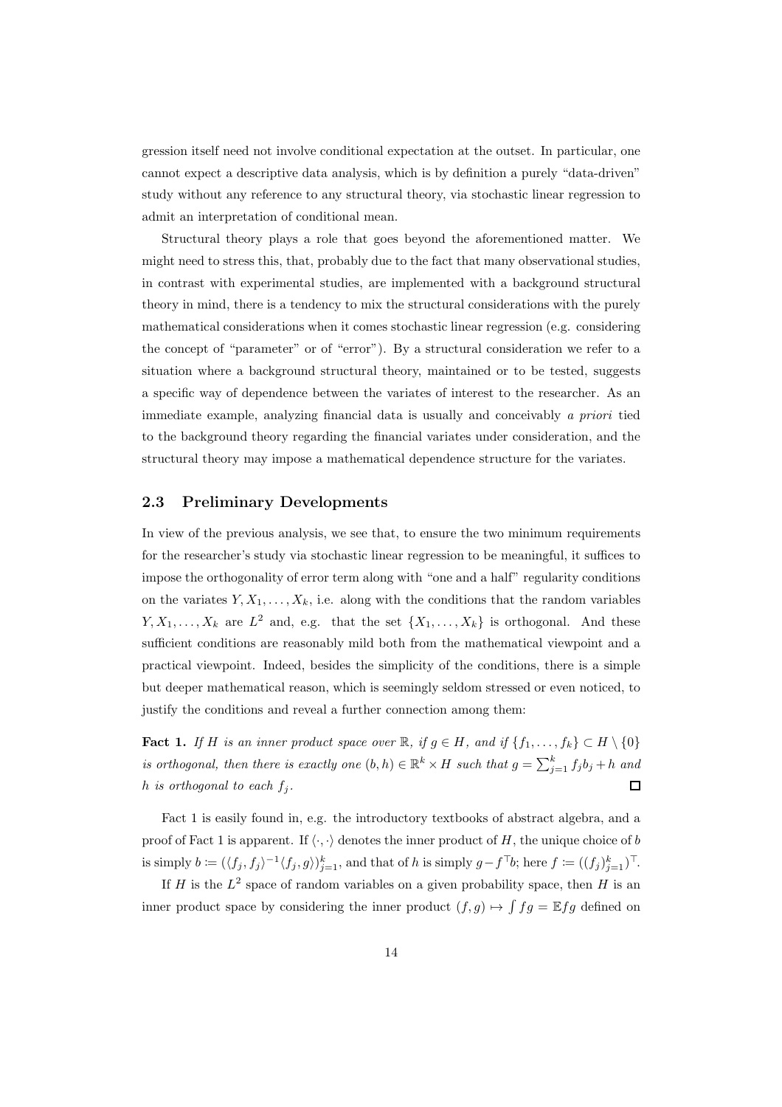gression itself need not involve conditional expectation at the outset. In particular, one cannot expect a descriptive data analysis, which is by definition a purely "data-driven" study without any reference to any structural theory, via stochastic linear regression to admit an interpretation of conditional mean.

Structural theory plays a role that goes beyond the aforementioned matter. We might need to stress this, that, probably due to the fact that many observational studies, in contrast with experimental studies, are implemented with a background structural theory in mind, there is a tendency to mix the structural considerations with the purely mathematical considerations when it comes stochastic linear regression (e.g. considering the concept of "parameter" or of "error"). By a structural consideration we refer to a situation where a background structural theory, maintained or to be tested, suggests a specific way of dependence between the variates of interest to the researcher. As an immediate example, analyzing financial data is usually and conceivably a priori tied to the background theory regarding the financial variates under consideration, and the structural theory may impose a mathematical dependence structure for the variates.

#### 2.3 Preliminary Developments

In view of the previous analysis, we see that, to ensure the two minimum requirements for the researcher's study via stochastic linear regression to be meaningful, it suffices to impose the orthogonality of error term along with "one and a half" regularity conditions on the variates  $Y, X_1, \ldots, X_k$ , i.e. along with the conditions that the random variables  $Y, X_1, \ldots, X_k$  are  $L^2$  and, e.g. that the set  $\{X_1, \ldots, X_k\}$  is orthogonal. And these sufficient conditions are reasonably mild both from the mathematical viewpoint and a practical viewpoint. Indeed, besides the simplicity of the conditions, there is a simple but deeper mathematical reason, which is seemingly seldom stressed or even noticed, to justify the conditions and reveal a further connection among them:

Fact 1. If H is an inner product space over  $\mathbb{R}$ , if  $g \in H$ , and if  $\{f_1, \ldots, f_k\} \subset H \setminus \{0\}$ is orthogonal, then there is exactly one  $(b, h) \in \mathbb{R}^k \times H$  such that  $g = \sum_{j=1}^k f_j b_j + h$  and h is orthogonal to each  $f_j$ .

Fact 1 is easily found in, e.g. the introductory textbooks of abstract algebra, and a proof of Fact 1 is apparent. If  $\langle \cdot, \cdot \rangle$  denotes the inner product of H, the unique choice of b is simply  $b := (\langle f_j, f_j \rangle^{-1} \langle f_j, g \rangle)_{j=1}^k$ , and that of h is simply  $g - f^{\top}b$ ; here  $f := ((f_j)_{j=1}^k)^{\top}$ .

If H is the  $L^2$  space of random variables on a given probability space, then H is an inner product space by considering the inner product  $(f, g) \mapsto \int f g = \mathbb{E} f g$  defined on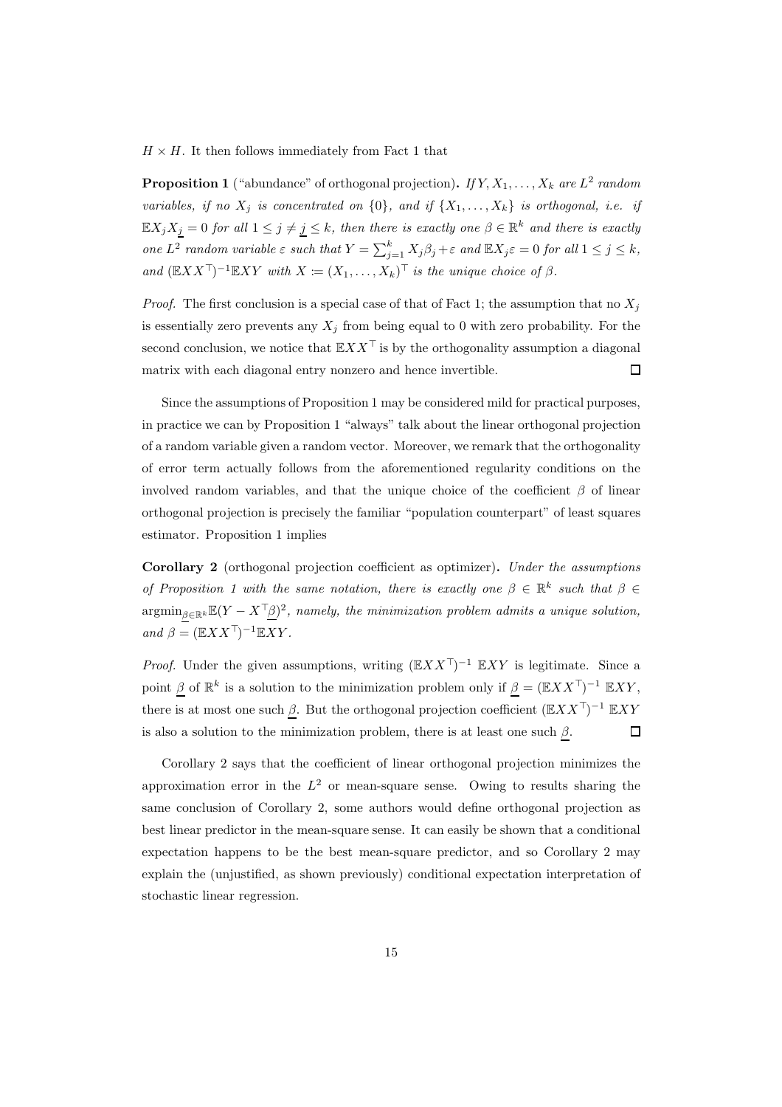$H \times H$ . It then follows immediately from Fact 1 that

**Proposition 1** ("abundance" of orthogonal projection). If  $Y, X_1, \ldots, X_k$  are  $L^2$  random variables, if no  $X_j$  is concentrated on  $\{0\}$ , and if  $\{X_1, \ldots, X_k\}$  is orthogonal, i.e. if  $\mathbb{E} X_j X_{\underline{j}} = 0$  for all  $1 \leq j \neq \underline{j} \leq k$ , then there is exactly one  $\beta \in \mathbb{R}^k$  and there is exactly one  $L^2$  random variable  $\varepsilon$  such that  $Y = \sum_{j=1}^k X_j \beta_j + \varepsilon$  and  $\mathbb{E} X_j \varepsilon = 0$  for all  $1 \le j \le k$ , and  $(\mathbb{E} XX^{\top})^{-1} \mathbb{E} XY$  with  $X := (X_1, \ldots, X_k)^{\top}$  is the unique choice of  $\beta$ .

*Proof.* The first conclusion is a special case of that of Fact 1; the assumption that no  $X_j$ is essentially zero prevents any  $X_i$  from being equal to 0 with zero probability. For the second conclusion, we notice that  $\mathbb{E} XX^{\top}$  is by the orthogonality assumption a diagonal matrix with each diagonal entry nonzero and hence invertible.  $\Box$ 

Since the assumptions of Proposition 1 may be considered mild for practical purposes, in practice we can by Proposition 1 "always" talk about the linear orthogonal projection of a random variable given a random vector. Moreover, we remark that the orthogonality of error term actually follows from the aforementioned regularity conditions on the involved random variables, and that the unique choice of the coefficient  $\beta$  of linear orthogonal projection is precisely the familiar "population counterpart" of least squares estimator. Proposition 1 implies

Corollary 2 (orthogonal projection coefficient as optimizer). Under the assumptions of Proposition 1 with the same notation, there is exactly one  $\beta \in \mathbb{R}^k$  such that  $\beta \in$  $\operatorname{argmin}_{\underline{\beta}\in\mathbb{R}^k}\mathbb{E}(Y-X^{\top}\underline{\beta})^2$ , namely, the minimization problem admits a unique solution, and  $\beta = (\mathbb{E} X X^{\top})^{-1} \mathbb{E} XY$ .

*Proof.* Under the given assumptions, writing  $(EXX^T)^{-1} EXY$  is legitimate. Since a point  $\beta$  of  $\mathbb{R}^k$  is a solution to the minimization problem only if  $\beta = (\mathbb{E} X X^{\top})^{-1} \mathbb{E} XY$ , there is at most one such  $\beta$ . But the orthogonal projection coefficient  $(\mathbb{E}XX^{\top})^{-1} \mathbb{E}XY$ is also a solution to the minimization problem, there is at least one such  $\beta$ .  $\Box$ 

Corollary 2 says that the coefficient of linear orthogonal projection minimizes the approximation error in the  $L^2$  or mean-square sense. Owing to results sharing the same conclusion of Corollary 2, some authors would define orthogonal projection as best linear predictor in the mean-square sense. It can easily be shown that a conditional expectation happens to be the best mean-square predictor, and so Corollary 2 may explain the (unjustified, as shown previously) conditional expectation interpretation of stochastic linear regression.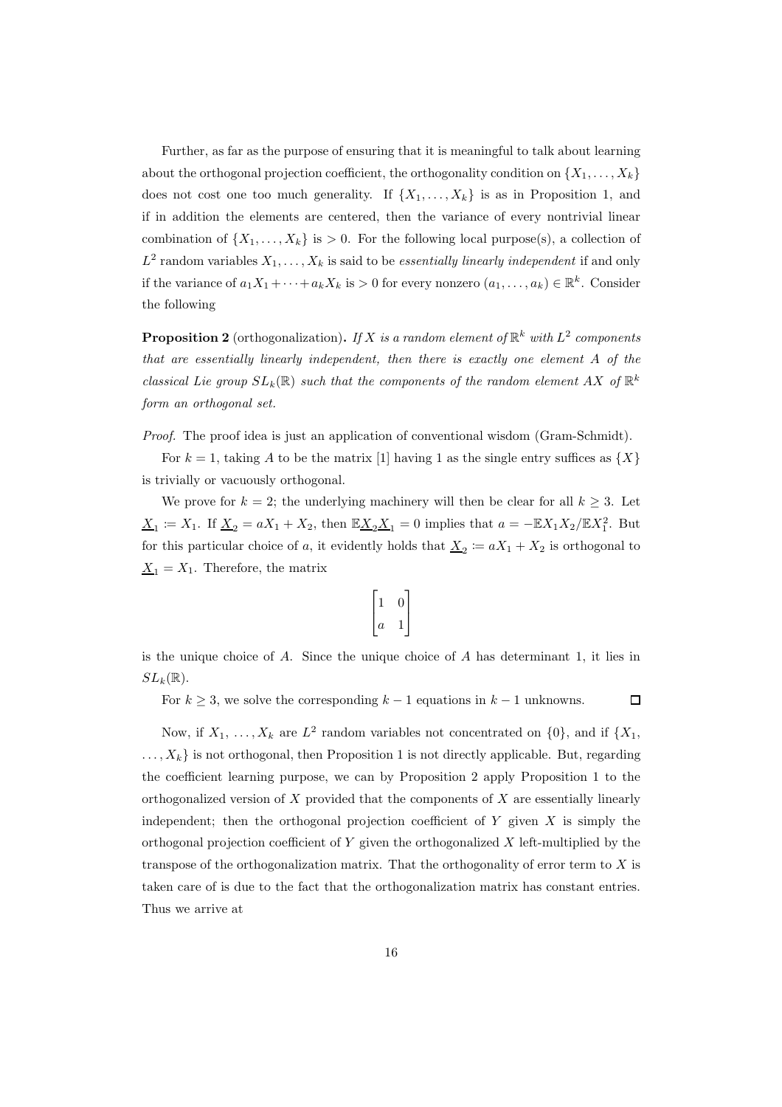Further, as far as the purpose of ensuring that it is meaningful to talk about learning about the orthogonal projection coefficient, the orthogonality condition on  $\{X_1, \ldots, X_k\}$ does not cost one too much generality. If  $\{X_1, \ldots, X_k\}$  is as in Proposition 1, and if in addition the elements are centered, then the variance of every nontrivial linear combination of  $\{X_1, \ldots, X_k\}$  is  $> 0$ . For the following local purpose(s), a collection of  $L^2$  random variables  $X_1, \ldots, X_k$  is said to be *essentially linearly independent* if and only if the variance of  $a_1X_1 + \cdots + a_kX_k$  is  $> 0$  for every nonzero  $(a_1, \ldots, a_k) \in \mathbb{R}^k$ . Consider the following

**Proposition 2** (orthogonalization). If X is a random element of  $\mathbb{R}^k$  with  $L^2$  components that are essentially linearly independent, then there is exactly one element A of the classical Lie group  $SL_k(\mathbb{R})$  such that the components of the random element AX of  $\mathbb{R}^k$ form an orthogonal set.

Proof. The proof idea is just an application of conventional wisdom (Gram-Schmidt).

For  $k = 1$ , taking A to be the matrix [1] having 1 as the single entry suffices as  $\{X\}$ is trivially or vacuously orthogonal.

We prove for  $k = 2$ ; the underlying machinery will then be clear for all  $k \geq 3$ . Let  $\underline{X}_1 \coloneqq X_1$ . If  $\underline{X}_2 = aX_1 + X_2$ , then  $\mathbb{E} \underline{X}_2 \underline{X}_1 = 0$  implies that  $a = -\mathbb{E} X_1 X_2 / \mathbb{E} X_1^2$ . But for this particular choice of a, it evidently holds that  $\underline{X}_2 \coloneqq aX_1 + X_2$  is orthogonal to  $X_1 = X_1$ . Therefore, the matrix

$$
\begin{bmatrix} 1 & 0 \\ a & 1 \end{bmatrix}
$$

is the unique choice of A. Since the unique choice of A has determinant 1, it lies in  $SL_k(\mathbb{R})$ .

For  $k \geq 3$ , we solve the corresponding  $k-1$  equations in  $k-1$  unknowns.  $\Box$ 

Now, if  $X_1, \ldots, X_k$  are  $L^2$  random variables not concentrated on  $\{0\}$ , and if  $\{X_1, \ldots, X_k\}$  $\ldots, X_k$  is not orthogonal, then Proposition 1 is not directly applicable. But, regarding the coefficient learning purpose, we can by Proposition 2 apply Proposition 1 to the orthogonalized version of  $X$  provided that the components of  $X$  are essentially linearly independent; then the orthogonal projection coefficient of  $Y$  given  $X$  is simply the orthogonal projection coefficient of  $Y$  given the orthogonalized  $X$  left-multiplied by the transpose of the orthogonalization matrix. That the orthogonality of error term to  $X$  is taken care of is due to the fact that the orthogonalization matrix has constant entries. Thus we arrive at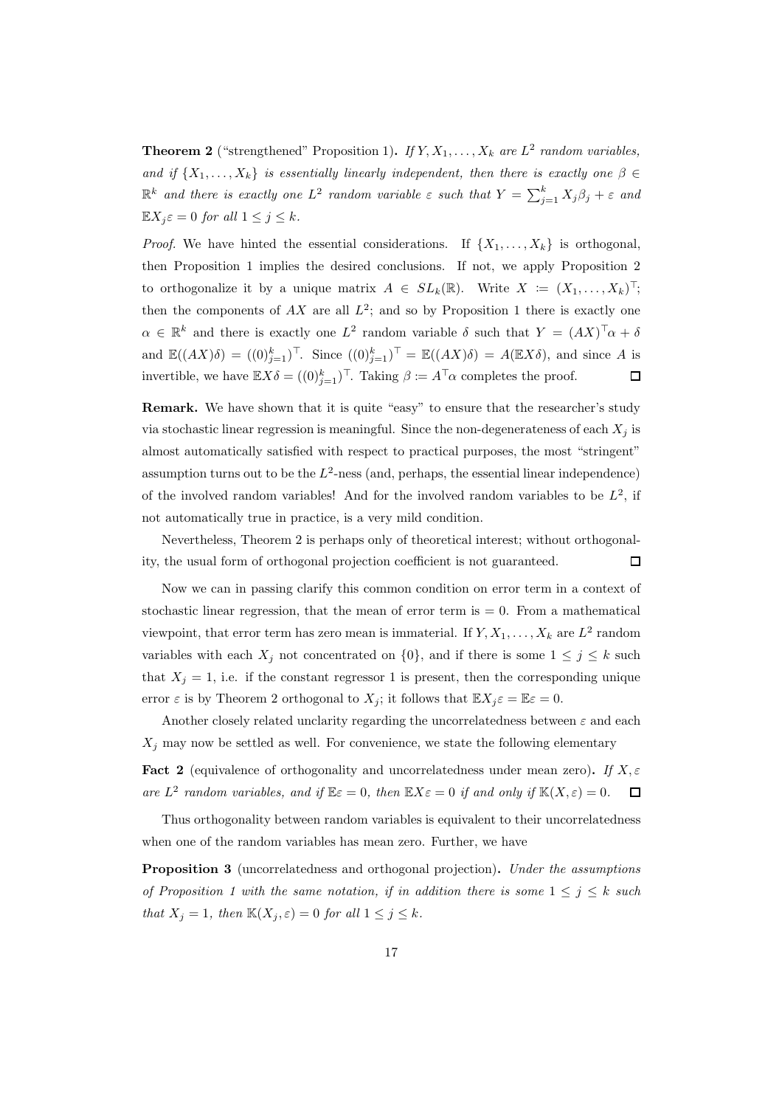**Theorem 2** ("strengthened" Proposition 1). If  $Y, X_1, \ldots, X_k$  are  $L^2$  random variables, and if  $\{X_1, \ldots, X_k\}$  is essentially linearly independent, then there is exactly one  $\beta \in$  $\mathbb{R}^k$  and there is exactly one  $L^2$  random variable  $\varepsilon$  such that  $Y = \sum_{j=1}^k X_j \beta_j + \varepsilon$  and  $\mathbb{E} X_j \varepsilon = 0$  for all  $1 \le j \le k$ .

*Proof.* We have hinted the essential considerations. If  $\{X_1, \ldots, X_k\}$  is orthogonal, then Proposition 1 implies the desired conclusions. If not, we apply Proposition 2 to orthogonalize it by a unique matrix  $A \in SL_k(\mathbb{R})$ . Write  $X := (X_1, \ldots, X_k)^\top$ ; then the components of  $AX$  are all  $L^2$ ; and so by Proposition 1 there is exactly one  $\alpha \in \mathbb{R}^k$  and there is exactly one  $L^2$  random variable  $\delta$  such that  $Y = (AX)^{\top} \alpha + \delta$ and  $\mathbb{E}((AX)\delta) = ((0)^k_{j=1})^\top$ . Since  $((0)^k_{j=1})^\top = \mathbb{E}((AX)\delta) = A(\mathbb{E}X\delta)$ , and since A is invertible, we have  $\mathbb{E} X \delta = ((0)_{j=1}^k)^\top$ . Taking  $\beta \coloneqq A^\top \alpha$  completes the proof.  $\Box$ 

Remark. We have shown that it is quite "easy" to ensure that the researcher's study via stochastic linear regression is meaningful. Since the non-degenerateness of each  $X_i$  is almost automatically satisfied with respect to practical purposes, the most "stringent" assumption turns out to be the  $L^2$ -ness (and, perhaps, the essential linear independence) of the involved random variables! And for the involved random variables to be  $L^2$ , if not automatically true in practice, is a very mild condition.

Nevertheless, Theorem 2 is perhaps only of theoretical interest; without orthogonality, the usual form of orthogonal projection coefficient is not guaranteed.  $\Box$ 

Now we can in passing clarify this common condition on error term in a context of stochastic linear regression, that the mean of error term is  $= 0$ . From a mathematical viewpoint, that error term has zero mean is immaterial. If  $Y, X_1, \ldots, X_k$  are  $L^2$  random variables with each  $X_j$  not concentrated on  $\{0\}$ , and if there is some  $1 \leq j \leq k$  such that  $X_j = 1$ , i.e. if the constant regressor 1 is present, then the corresponding unique error  $\varepsilon$  is by Theorem 2 orthogonal to  $X_i$ ; it follows that  $\mathbb{E} X_i \varepsilon = \mathbb{E} \varepsilon = 0$ .

Another closely related unclarity regarding the uncorrelatedness between  $\varepsilon$  and each  $X_i$  may now be settled as well. For convenience, we state the following elementary

**Fact 2** (equivalence of orthogonality and uncorrelatedness under mean zero). If  $X, \varepsilon$ are  $L^2$  random variables, and if  $\mathbb{E} \varepsilon = 0$ , then  $\mathbb{E} X \varepsilon = 0$  if and only if  $\mathbb{K}(X, \varepsilon) = 0$ .  $\Box$ 

Thus orthogonality between random variables is equivalent to their uncorrelatedness when one of the random variables has mean zero. Further, we have

Proposition 3 (uncorrelatedness and orthogonal projection). Under the assumptions of Proposition 1 with the same notation, if in addition there is some  $1 \leq j \leq k$  such that  $X_j = 1$ , then  $\mathbb{K}(X_j, \varepsilon) = 0$  for all  $1 \leq j \leq k$ .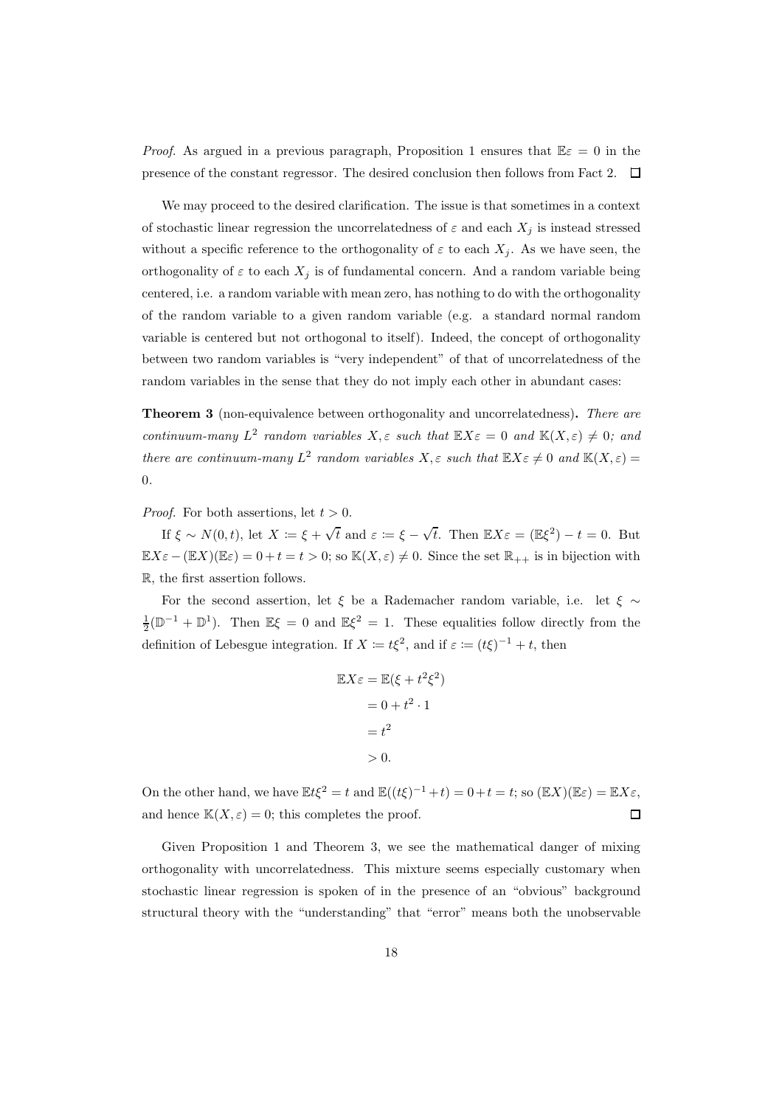*Proof.* As argued in a previous paragraph, Proposition 1 ensures that  $\mathbb{E} \varepsilon = 0$  in the presence of the constant regressor. The desired conclusion then follows from Fact 2.  $\Box$ 

We may proceed to the desired clarification. The issue is that sometimes in a context of stochastic linear regression the uncorrelatedness of  $\varepsilon$  and each  $X_i$  is instead stressed without a specific reference to the orthogonality of  $\varepsilon$  to each  $X_j$ . As we have seen, the orthogonality of  $\varepsilon$  to each  $X_j$  is of fundamental concern. And a random variable being centered, i.e. a random variable with mean zero, has nothing to do with the orthogonality of the random variable to a given random variable (e.g. a standard normal random variable is centered but not orthogonal to itself). Indeed, the concept of orthogonality between two random variables is "very independent" of that of uncorrelatedness of the random variables in the sense that they do not imply each other in abundant cases:

Theorem 3 (non-equivalence between orthogonality and uncorrelatedness). There are continuum-many  $L^2$  random variables  $X, \varepsilon$  such that  $\mathbb{E} X \varepsilon = 0$  and  $\mathbb{K}(X, \varepsilon) \neq 0$ ; and there are continuum-many  $L^2$  random variables  $X, \varepsilon$  such that  $\mathbb{E} X \varepsilon \neq 0$  and  $\mathbb{K}(X, \varepsilon) =$ 0.

*Proof.* For both assertions, let  $t > 0$ .

If  $\xi \sim N(0, t)$ , let  $X \coloneqq \xi + \sqrt{t}$  and  $\varepsilon \coloneqq \xi - \sqrt{t}$ . Then  $\mathbb{E}X\varepsilon = (\mathbb{E}\xi^2) - t = 0$ . But  $\mathbb{E} X \varepsilon - (\mathbb{E} X)(\mathbb{E} \varepsilon) = 0 + t = t > 0$ ; so  $\mathbb{K}(X, \varepsilon) \neq 0$ . Since the set  $\mathbb{R}_{++}$  is in bijection with R, the first assertion follows.

For the second assertion, let  $\xi$  be a Rademacher random variable, i.e. let  $\xi \sim$  $\frac{1}{2}(\mathbb{D}^{-1} + \mathbb{D}^{1})$ . Then  $\mathbb{E}\xi = 0$  and  $\mathbb{E}\xi^{2} = 1$ . These equalities follow directly from the definition of Lebesgue integration. If  $X := t\xi^2$ , and if  $\varepsilon := (t\xi)^{-1} + t$ , then

$$
\mathbb{E}X\varepsilon = \mathbb{E}(\xi + t^2 \xi^2)
$$

$$
= 0 + t^2 \cdot 1
$$

$$
= t^2
$$

$$
> 0.
$$

On the other hand, we have  $\mathbb{E}t\xi^2 = t$  and  $\mathbb{E}((t\xi)^{-1} + t) = 0 + t = t$ ; so  $(\mathbb{E}X)(\mathbb{E}\varepsilon) = \mathbb{E}X\varepsilon$ , and hence  $K(X, \varepsilon) = 0$ ; this completes the proof.  $\Box$ 

Given Proposition 1 and Theorem 3, we see the mathematical danger of mixing orthogonality with uncorrelatedness. This mixture seems especially customary when stochastic linear regression is spoken of in the presence of an "obvious" background structural theory with the "understanding" that "error" means both the unobservable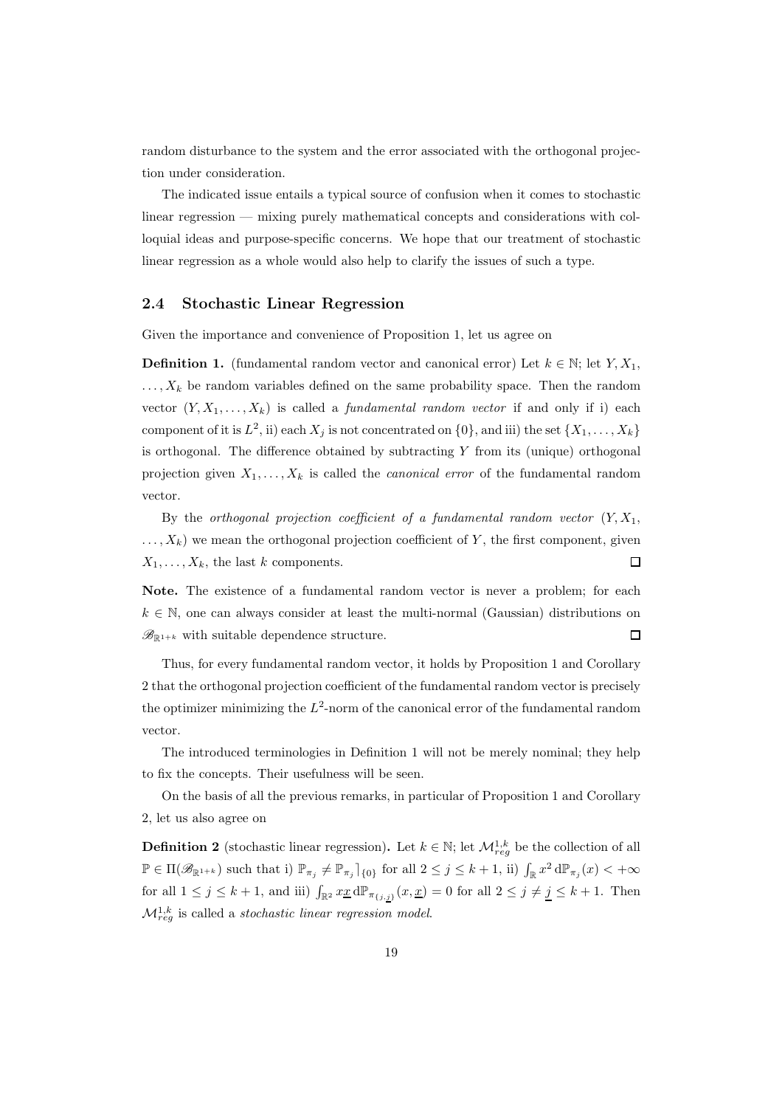random disturbance to the system and the error associated with the orthogonal projection under consideration.

The indicated issue entails a typical source of confusion when it comes to stochastic linear regression — mixing purely mathematical concepts and considerations with colloquial ideas and purpose-specific concerns. We hope that our treatment of stochastic linear regression as a whole would also help to clarify the issues of such a type.

#### 2.4 Stochastic Linear Regression

Given the importance and convenience of Proposition 1, let us agree on

**Definition 1.** (fundamental random vector and canonical error) Let  $k \in \mathbb{N}$ ; let  $Y, X_1$ ,  $\ldots, X_k$  be random variables defined on the same probability space. Then the random vector  $(Y, X_1, \ldots, X_k)$  is called a *fundamental random vector* if and only if i) each component of it is  $L^2$ , ii) each  $X_j$  is not concentrated on  $\{0\}$ , and iii) the set  $\{X_1, \ldots, X_k\}$ is orthogonal. The difference obtained by subtracting Y from its (unique) orthogonal projection given  $X_1, \ldots, X_k$  is called the *canonical error* of the fundamental random vector.

By the orthogonal projection coefficient of a fundamental random vector  $(Y, X_1)$ ,  $\dots, X_k$ ) we mean the orthogonal projection coefficient of Y, the first component, given  $X_1, \ldots, X_k$ , the last k components.  $\Box$ 

Note. The existence of a fundamental random vector is never a problem; for each  $k \in \mathbb{N}$ , one can always consider at least the multi-normal (Gaussian) distributions on  $\mathscr{B}_{\mathbb{R}^{1+k}}$  with suitable dependence structure.  $\Box$ 

Thus, for every fundamental random vector, it holds by Proposition 1 and Corollary 2 that the orthogonal projection coefficient of the fundamental random vector is precisely the optimizer minimizing the  $L^2$ -norm of the canonical error of the fundamental random vector.

The introduced terminologies in Definition 1 will not be merely nominal; they help to fix the concepts. Their usefulness will be seen.

On the basis of all the previous remarks, in particular of Proposition 1 and Corollary 2, let us also agree on

**Definition 2** (stochastic linear regression). Let  $k \in \mathbb{N}$ ; let  $\mathcal{M}_{reg}^{1,k}$  be the collection of all  $\mathbb{P} \in \Pi(\mathscr{B}_{\mathbb{R}^{1+k}})$  such that i)  $\mathbb{P}_{\pi_j} \neq \mathbb{P}_{\pi_j} \vert_{\{0\}}$  for all  $2 \leq j \leq k+1$ , ii)  $\int_{\mathbb{R}} x^2 d\mathbb{P}_{\pi_j}(x) < +\infty$ for all  $1 \leq j \leq k+1$ , and iii)  $\int_{\mathbb{R}^2} x \underline{x} d\mathbb{P}_{\pi_{\{j,j\}}}(x, \underline{x}) = 0$  for all  $2 \leq j \neq \underline{j} \leq k+1$ . Then  $\mathcal{M}_{reg}^{1,k}$  is called a *stochastic linear regression model*.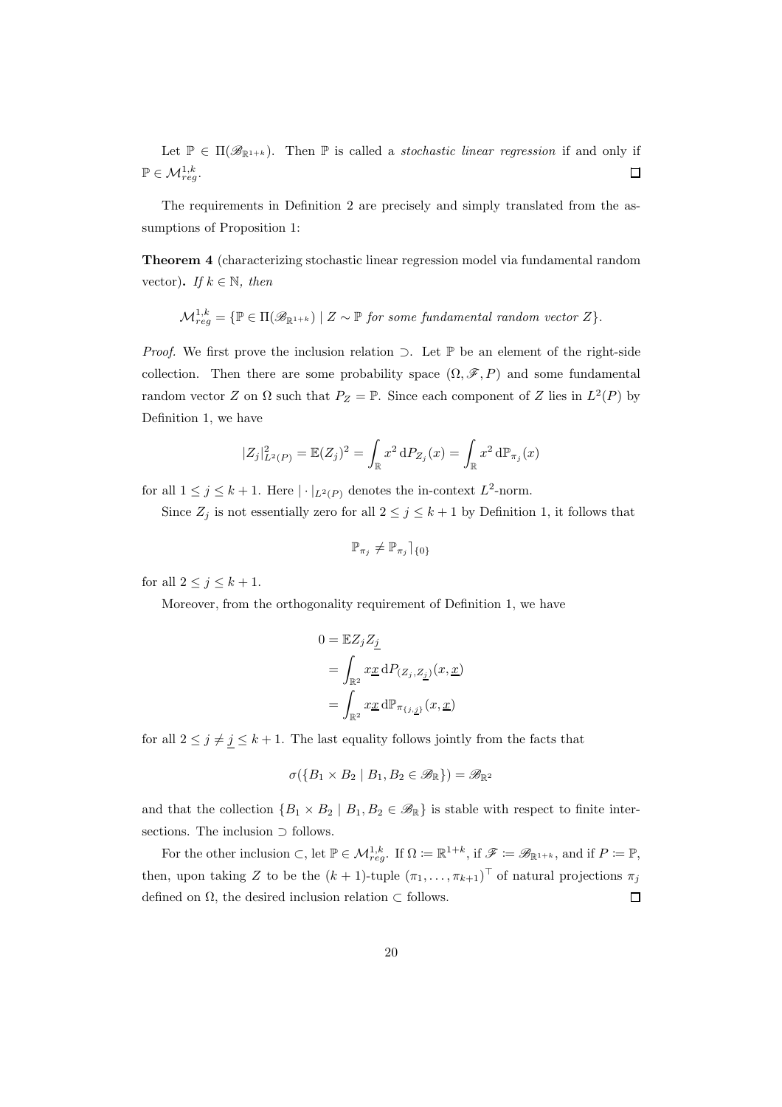Let  $\mathbb{P} \in \Pi(\mathscr{B}_{\mathbb{R}^{1+k}})$ . Then  $\mathbb P$  is called a *stochastic linear regression* if and only if  $\mathbb{P} \in \mathcal{M}_{reg}^{1,k}$ .  $\Box$ 

The requirements in Definition 2 are precisely and simply translated from the assumptions of Proposition 1:

Theorem 4 (characterizing stochastic linear regression model via fundamental random vector). If  $k \in \mathbb{N}$ , then

$$
\mathcal{M}^{1,k}_{reg} = \{ \mathbb{P} \in \Pi(\mathscr{B}_{\mathbb{R}^{1+k}}) \mid Z \sim \mathbb{P} \text{ for some fundamental random vector } Z \}.
$$

*Proof.* We first prove the inclusion relation ⊃. Let  $\mathbb P$  be an element of the right-side collection. Then there are some probability space  $(\Omega, \mathscr{F}, P)$  and some fundamental random vector Z on  $\Omega$  such that  $P_Z = \mathbb{P}$ . Since each component of Z lies in  $L^2(P)$  by Definition 1, we have

$$
|Z_j|_{L^2(P)}^2 = \mathbb{E}(Z_j)^2 = \int_{\mathbb{R}} x^2 dP_{Z_j}(x) = \int_{\mathbb{R}} x^2 d\mathbb{P}_{\pi_j}(x)
$$

for all  $1 \leq j \leq k+1$ . Here  $|\cdot|_{L^2(P)}$  denotes the in-context  $L^2$ -norm.

Since  $Z_j$  is not essentially zero for all  $2 \leq j \leq k+1$  by Definition 1, it follows that

$$
\mathbb{P}_{\pi_j}\neq \mathbb{P}_{\pi_j} \rceil_{\{0\}}
$$

for all  $2 \leq j \leq k+1$ .

Moreover, from the orthogonality requirement of Definition 1, we have

$$
\begin{aligned} 0&=\mathbb{E} Z_j Z_{\underline{j}}\\ &=\int_{\mathbb{R}^2}x\underline{x}\,\mathrm{d} P_{(Z_j,Z_{\underline{j}})}(x,\underline{x})\\ &=\int_{\mathbb{R}^2}x\underline{x}\,\mathrm{d} \mathbb{P}_{\pi_{\{j,\underline{j}\}}}(x,\underline{x}) \end{aligned}
$$

for all  $2 \leq j \neq \underline{j} \leq k+1$ . The last equality follows jointly from the facts that

$$
\sigma(\{B_1\times B_2\mid B_1,B_2\in\mathscr{B}_{\mathbb{R}}\})=\mathscr{B}_{\mathbb{R}^2}
$$

and that the collection  $\{B_1 \times B_2 \mid B_1, B_2 \in \mathcal{B}_{\mathbb{R}}\}$  is stable with respect to finite intersections. The inclusion ⊃ follows.

For the other inclusion  $\subset$ , let  $\mathbb{P} \in \mathcal{M}_{reg}^{1,k}$ . If  $\Omega := \mathbb{R}^{1+k}$ , if  $\mathscr{F} := \mathscr{B}_{\mathbb{R}^{1+k}}$ , and if  $P := \mathbb{P}$ , then, upon taking Z to be the  $(k+1)$ -tuple  $(\pi_1, \ldots, \pi_{k+1})^{\top}$  of natural projections  $\pi_j$ defined on  $\Omega$ , the desired inclusion relation  $\subset$  follows.  $\Box$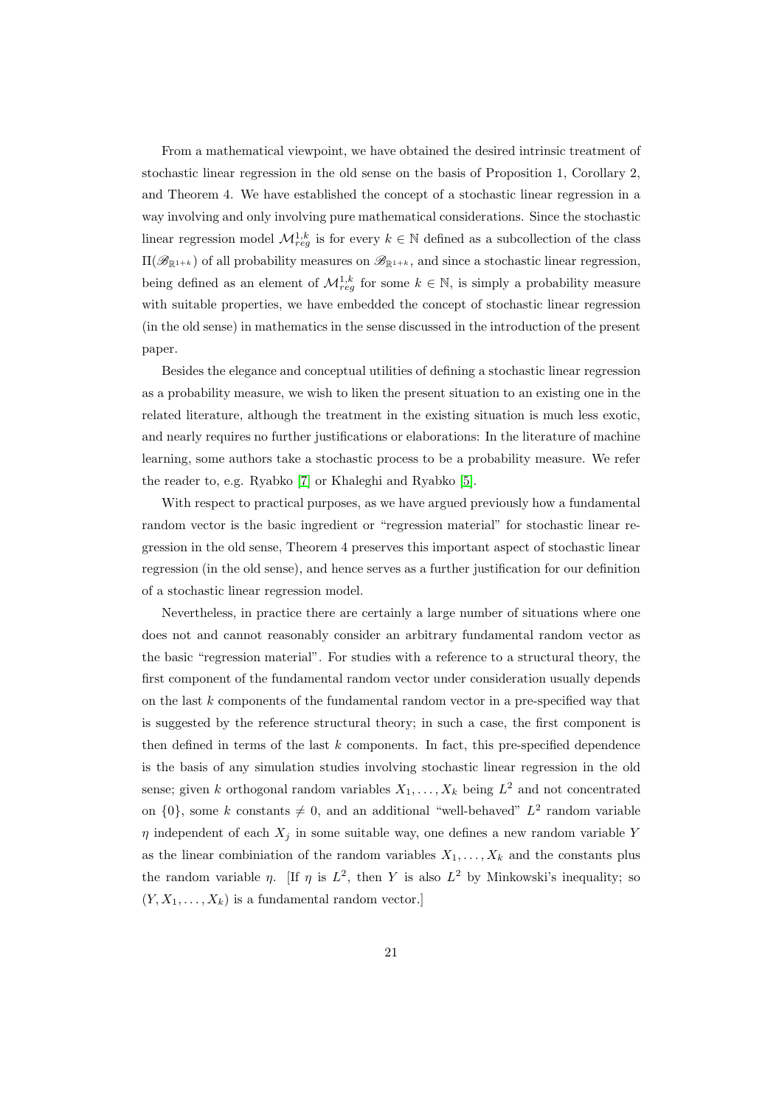From a mathematical viewpoint, we have obtained the desired intrinsic treatment of stochastic linear regression in the old sense on the basis of Proposition 1, Corollary 2, and Theorem 4. We have established the concept of a stochastic linear regression in a way involving and only involving pure mathematical considerations. Since the stochastic linear regression model  $\mathcal{M}_{reg}^{1,k}$  is for every  $k \in \mathbb{N}$  defined as a subcollection of the class  $\Pi(\mathscr{B}_{\mathbb{R}^{1+k}})$  of all probability measures on  $\mathscr{B}_{\mathbb{R}^{1+k}}$ , and since a stochastic linear regression, being defined as an element of  $\mathcal{M}_{reg}^{1,k}$  for some  $k \in \mathbb{N}$ , is simply a probability measure with suitable properties, we have embedded the concept of stochastic linear regression (in the old sense) in mathematics in the sense discussed in the introduction of the present paper.

Besides the elegance and conceptual utilities of defining a stochastic linear regression as a probability measure, we wish to liken the present situation to an existing one in the related literature, although the treatment in the existing situation is much less exotic, and nearly requires no further justifications or elaborations: In the literature of machine learning, some authors take a stochastic process to be a probability measure. We refer the reader to, e.g. Ryabko [\[7\]](#page-22-4) or Khaleghi and Ryabko [\[5\]](#page-22-6).

With respect to practical purposes, as we have argued previously how a fundamental random vector is the basic ingredient or "regression material" for stochastic linear regression in the old sense, Theorem 4 preserves this important aspect of stochastic linear regression (in the old sense), and hence serves as a further justification for our definition of a stochastic linear regression model.

Nevertheless, in practice there are certainly a large number of situations where one does not and cannot reasonably consider an arbitrary fundamental random vector as the basic "regression material". For studies with a reference to a structural theory, the first component of the fundamental random vector under consideration usually depends on the last k components of the fundamental random vector in a pre-specified way that is suggested by the reference structural theory; in such a case, the first component is then defined in terms of the last  $k$  components. In fact, this pre-specified dependence is the basis of any simulation studies involving stochastic linear regression in the old sense; given k orthogonal random variables  $X_1, \ldots, X_k$  being  $L^2$  and not concentrated on  $\{0\}$ , some k constants  $\neq 0$ , and an additional "well-behaved"  $L^2$  random variable  $\eta$  independent of each  $X_j$  in some suitable way, one defines a new random variable Y as the linear combiniation of the random variables  $X_1, \ldots, X_k$  and the constants plus the random variable  $\eta$ . [If  $\eta$  is  $L^2$ , then Y is also  $L^2$  by Minkowski's inequality; so  $(Y, X_1, \ldots, X_k)$  is a fundamental random vector.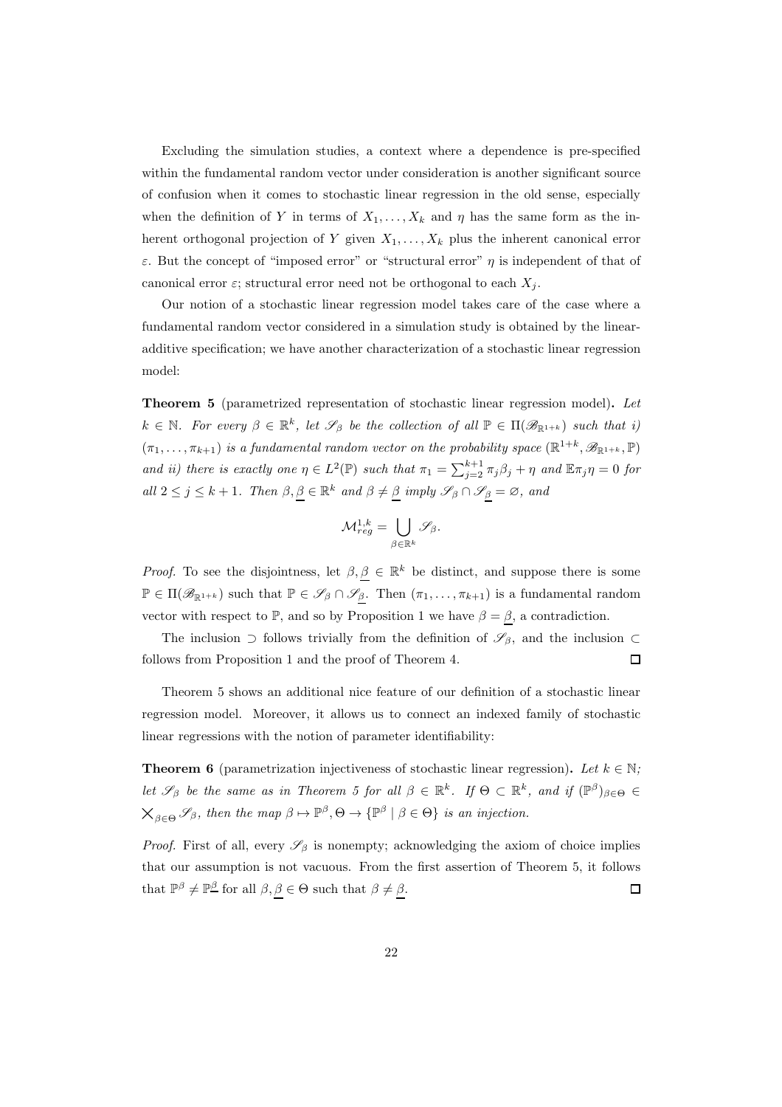Excluding the simulation studies, a context where a dependence is pre-specified within the fundamental random vector under consideration is another significant source of confusion when it comes to stochastic linear regression in the old sense, especially when the definition of Y in terms of  $X_1, \ldots, X_k$  and  $\eta$  has the same form as the inherent orthogonal projection of Y given  $X_1, \ldots, X_k$  plus the inherent canonical error ε. But the concept of "imposed error" or "structural error"  $η$  is independent of that of canonical error  $\varepsilon$ ; structural error need not be orthogonal to each  $X_i$ .

Our notion of a stochastic linear regression model takes care of the case where a fundamental random vector considered in a simulation study is obtained by the linearadditive specification; we have another characterization of a stochastic linear regression model:

Theorem 5 (parametrized representation of stochastic linear regression model). Let  $k \in \mathbb{N}$ . For every  $\beta \in \mathbb{R}^k$ , let  $\mathscr{S}_{\beta}$  be the collection of all  $\mathbb{P} \in \Pi(\mathscr{B}_{\mathbb{R}^{1+k}})$  such that i)  $(\pi_1,\ldots,\pi_{k+1})$  is a fundamental random vector on the probability space  $(\mathbb{R}^{1+k},\mathscr{B}_{\mathbb{R}^{1+k}},\mathbb{P})$ and ii) there is exactly one  $\eta \in L^2(\mathbb{P})$  such that  $\pi_1 = \sum_{j=2}^{k+1} \pi_j \beta_j + \eta$  and  $\mathbb{E} \pi_j \eta = 0$  for all  $2 \leq j \leq k+1$ . Then  $\beta, \underline{\beta} \in \mathbb{R}^k$  and  $\beta \neq \underline{\beta}$  imply  $\mathscr{S}_{\beta} \cap \mathscr{S}_{\underline{\beta}} = \emptyset$ , and

$$
\mathcal M^{1,k}_{reg}=\bigcup_{\beta\in\mathbb R^k}\mathscr S_\beta.
$$

*Proof.* To see the disjointness, let  $\beta, \underline{\beta} \in \mathbb{R}^k$  be distinct, and suppose there is some  $\mathbb{P} \in \Pi(\mathscr{B}_{\mathbb{R}^{1+k}})$  such that  $\mathbb{P} \in \mathscr{S}_{\beta} \cap \mathscr{S}_{\underline{\beta}}$ . Then  $(\pi_1, \ldots, \pi_{k+1})$  is a fundamental random vector with respect to P, and so by Proposition 1 we have  $\beta = \beta$ , a contradiction.

The inclusion  $\supset$  follows trivially from the definition of  $\mathscr{S}_{\beta}$ , and the inclusion  $\subset$ follows from Proposition 1 and the proof of Theorem 4.  $\square$ 

Theorem 5 shows an additional nice feature of our definition of a stochastic linear regression model. Moreover, it allows us to connect an indexed family of stochastic linear regressions with the notion of parameter identifiability:

**Theorem 6** (parametrization injectiveness of stochastic linear regression). Let  $k \in \mathbb{N}$ ; let  $\mathscr{S}_{\beta}$  be the same as in Theorem 5 for all  $\beta \in \mathbb{R}^k$ . If  $\Theta \subset \mathbb{R}^k$ , and if  $(\mathbb{P}^{\beta})_{\beta \in \Theta} \in$  $X_{\beta \in \Theta} \mathscr{S}_{\beta}$ , then the map  $\beta \mapsto \mathbb{P}^{\beta}, \Theta \to {\mathbb{P}^{\beta} \mid \beta \in \Theta}$  is an injection.

*Proof.* First of all, every  $\mathscr{S}_{\beta}$  is nonempty; acknowledging the axiom of choice implies that our assumption is not vacuous. From the first assertion of Theorem 5, it follows that  $\mathbb{P}^{\beta} \neq \mathbb{P}^{\underline{\beta}}$  for all  $\beta, \underline{\beta} \in \Theta$  such that  $\beta \neq \underline{\beta}$ .  $\Box$